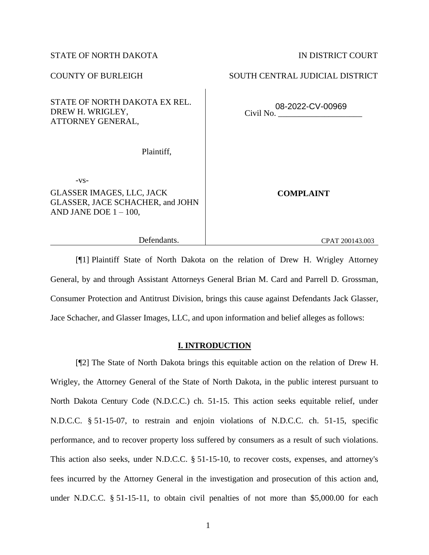# STATE OF NORTH DAKOTA IN DISTRICT COURT

# STATE OF NORTH DAKOTA EX REL. DREW H. WRIGLEY, ATTORNEY GENERAL,

Plaintiff,

-vs-

GLASSER IMAGES, LLC, JACK GLASSER, JACE SCHACHER, and JOHN AND JANE DOE  $1 - 100$ ,

**COMPLAINT**

Defendants.

[¶1] Plaintiff State of North Dakota on the relation of Drew H. Wrigley Attorney General, by and through Assistant Attorneys General Brian M. Card and Parrell D. Grossman, Consumer Protection and Antitrust Division, brings this cause against Defendants Jack Glasser, Jace Schacher, and Glasser Images, LLC, and upon information and belief alleges as follows:

## **I. INTRODUCTION**

[¶2] The State of North Dakota brings this equitable action on the relation of Drew H. Wrigley, the Attorney General of the State of North Dakota, in the public interest pursuant to North Dakota Century Code (N.D.C.C.) ch. 51-15. This action seeks equitable relief, under N.D.C.C. § 51-15-07, to restrain and enjoin violations of N.D.C.C. ch. 51-15, specific performance, and to recover property loss suffered by consumers as a result of such violations. This action also seeks, under N.D.C.C. § 51-15-10, to recover costs, expenses, and attorney's fees incurred by the Attorney General in the investigation and prosecution of this action and, under N.D.C.C. § 51-15-11, to obtain civil penalties of not more than \$5,000.00 for each

CPAT 200143.003

COUNTY OF BURLEIGH SOUTH CENTRAL JUDICIAL DISTRICT

Civil No. \_\_\_\_\_\_\_\_\_\_\_\_\_\_\_\_\_\_\_\_ 08-2022-CV-00969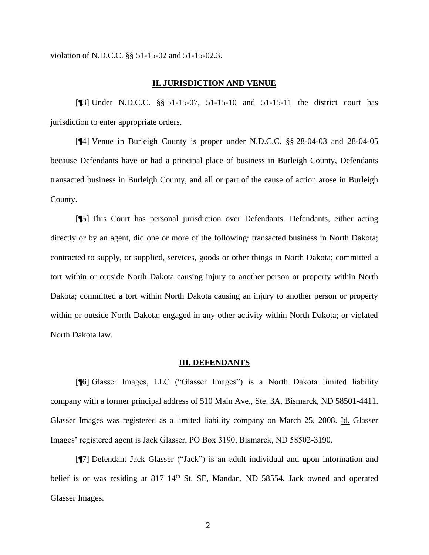violation of N.D.C.C. §§ 51-15-02 and 51-15-02.3.

#### **II. JURISDICTION AND VENUE**

[¶3] Under N.D.C.C. §§ 51-15-07, 51-15-10 and 51-15-11 the district court has jurisdiction to enter appropriate orders.

[¶4] Venue in Burleigh County is proper under N.D.C.C. §§ 28-04-03 and 28-04-05 because Defendants have or had a principal place of business in Burleigh County, Defendants transacted business in Burleigh County, and all or part of the cause of action arose in Burleigh County.

[¶5] This Court has personal jurisdiction over Defendants. Defendants, either acting directly or by an agent, did one or more of the following: transacted business in North Dakota; contracted to supply, or supplied, services, goods or other things in North Dakota; committed a tort within or outside North Dakota causing injury to another person or property within North Dakota; committed a tort within North Dakota causing an injury to another person or property within or outside North Dakota; engaged in any other activity within North Dakota; or violated North Dakota law.

#### **III. DEFENDANTS**

[¶6] Glasser Images, LLC ("Glasser Images") is a North Dakota limited liability company with a former principal address of 510 Main Ave., Ste. 3A, Bismarck, ND 58501-4411. Glasser Images was registered as a limited liability company on March 25, 2008. Id. Glasser Images' registered agent is Jack Glasser, PO Box 3190, Bismarck, ND 58502-3190.

[¶7] Defendant Jack Glasser ("Jack") is an adult individual and upon information and belief is or was residing at 817 14<sup>th</sup> St. SE, Mandan, ND 58554. Jack owned and operated Glasser Images.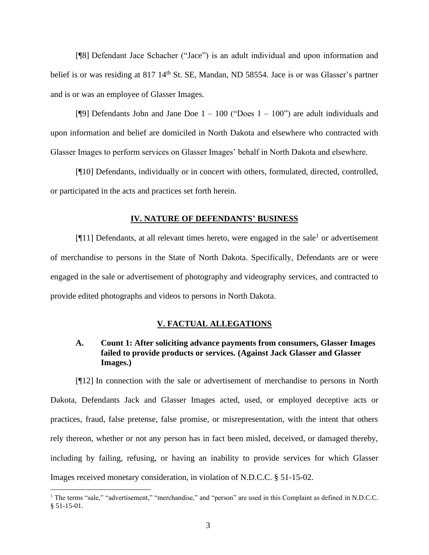[¶8] Defendant Jace Schacher ("Jace") is an adult individual and upon information and belief is or was residing at 817 14<sup>th</sup> St. SE, Mandan, ND 58554. Jace is or was Glasser's partner and is or was an employee of Glasser Images.

[ $[9]$ ] Defendants John and Jane Doe  $1 - 100$  ("Does  $1 - 100$ ") are adult individuals and upon information and belief are domiciled in North Dakota and elsewhere who contracted with Glasser Images to perform services on Glasser Images' behalf in North Dakota and elsewhere.

[¶10] Defendants, individually or in concert with others, formulated, directed, controlled, or participated in the acts and practices set forth herein.

#### **IV. NATURE OF DEFENDANTS' BUSINESS**

[ $[11]$ ] Defendants, at all relevant times hereto, were engaged in the sale<sup>1</sup> or advertisement of merchandise to persons in the State of North Dakota. Specifically, Defendants are or were engaged in the sale or advertisement of photography and videography services, and contracted to provide edited photographs and videos to persons in North Dakota.

### **V. FACTUAL ALLEGATIONS**

# **A. Count 1: After soliciting advance payments from consumers, Glasser Images failed to provide products or services. (Against Jack Glasser and Glasser Images.)**

[¶12] In connection with the sale or advertisement of merchandise to persons in North Dakota, Defendants Jack and Glasser Images acted, used, or employed deceptive acts or practices, fraud, false pretense, false promise, or misrepresentation, with the intent that others rely thereon, whether or not any person has in fact been misled, deceived, or damaged thereby, including by failing, refusing, or having an inability to provide services for which Glasser Images received monetary consideration, in violation of N.D.C.C. § 51-15-02.

<sup>&</sup>lt;sup>1</sup> The terms "sale," "advertisement," "merchandise," and "person" are used in this Complaint as defined in N.D.C.C. § 51-15-01.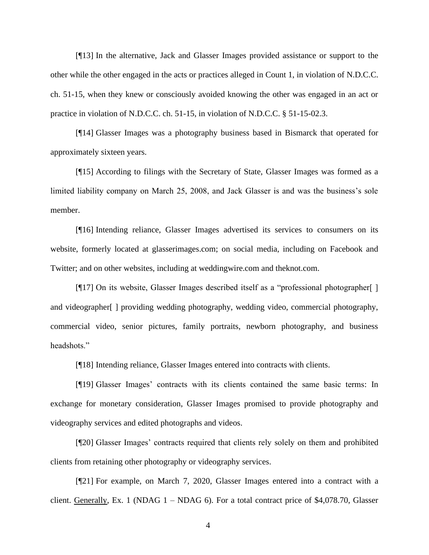[¶13] In the alternative, Jack and Glasser Images provided assistance or support to the other while the other engaged in the acts or practices alleged in Count 1, in violation of N.D.C.C. ch. 51-15, when they knew or consciously avoided knowing the other was engaged in an act or practice in violation of N.D.C.C. ch. 51-15, in violation of N.D.C.C. § 51-15-02.3.

[¶14] Glasser Images was a photography business based in Bismarck that operated for approximately sixteen years.

[¶15] According to filings with the Secretary of State, Glasser Images was formed as a limited liability company on March 25, 2008, and Jack Glasser is and was the business's sole member.

[¶16] Intending reliance, Glasser Images advertised its services to consumers on its website, formerly located at glasserimages.com; on social media, including on Facebook and Twitter; and on other websites, including at weddingwire.com and theknot.com.

[¶17] On its website, Glasser Images described itself as a "professional photographer[ ] and videographer[ ] providing wedding photography, wedding video, commercial photography, commercial video, senior pictures, family portraits, newborn photography, and business headshots."

[¶18] Intending reliance, Glasser Images entered into contracts with clients.

[¶19] Glasser Images' contracts with its clients contained the same basic terms: In exchange for monetary consideration, Glasser Images promised to provide photography and videography services and edited photographs and videos.

[¶20] Glasser Images' contracts required that clients rely solely on them and prohibited clients from retaining other photography or videography services.

[¶21] For example, on March 7, 2020, Glasser Images entered into a contract with a client. Generally, Ex. 1 (NDAG  $1 - NDAG$  6). For a total contract price of \$4,078.70, Glasser

4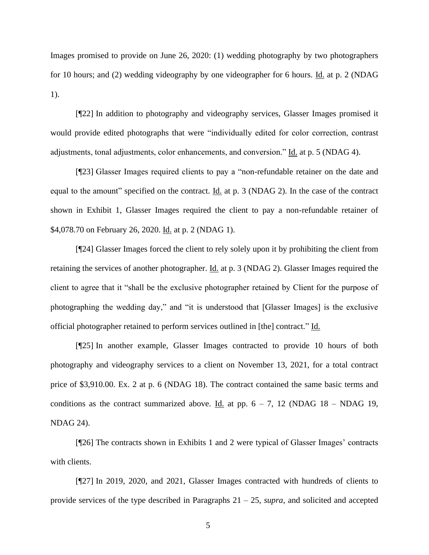Images promised to provide on June 26, 2020: (1) wedding photography by two photographers for 10 hours; and (2) wedding videography by one videographer for 6 hours. Id. at p. 2 (NDAG 1).

[¶22] In addition to photography and videography services, Glasser Images promised it would provide edited photographs that were "individually edited for color correction, contrast adjustments, tonal adjustments, color enhancements, and conversion." Id. at p. 5 (NDAG 4).

[¶23] Glasser Images required clients to pay a "non-refundable retainer on the date and equal to the amount" specified on the contract. Id. at p. 3 (NDAG 2). In the case of the contract shown in Exhibit 1, Glasser Images required the client to pay a non-refundable retainer of \$4,078.70 on February 26, 2020. Id. at p. 2 (NDAG 1).

[¶24] Glasser Images forced the client to rely solely upon it by prohibiting the client from retaining the services of another photographer. Id. at p. 3 (NDAG 2). Glasser Images required the client to agree that it "shall be the exclusive photographer retained by Client for the purpose of photographing the wedding day," and "it is understood that [Glasser Images] is the exclusive official photographer retained to perform services outlined in [the] contract." Id.

[¶25] In another example, Glasser Images contracted to provide 10 hours of both photography and videography services to a client on November 13, 2021, for a total contract price of \$3,910.00. Ex. 2 at p. 6 (NDAG 18). The contract contained the same basic terms and conditions as the contract summarized above. Id. at pp.  $6 - 7$ , 12 (NDAG 18 – NDAG 19, NDAG 24).

[¶26] The contracts shown in Exhibits 1 and 2 were typical of Glasser Images' contracts with clients.

[¶27] In 2019, 2020, and 2021, Glasser Images contracted with hundreds of clients to provide services of the type described in Paragraphs 21 – 25, *supra*, and solicited and accepted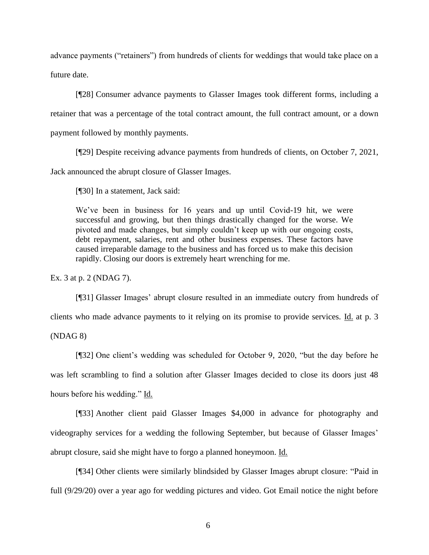advance payments ("retainers") from hundreds of clients for weddings that would take place on a future date.

[¶28] Consumer advance payments to Glasser Images took different forms, including a retainer that was a percentage of the total contract amount, the full contract amount, or a down payment followed by monthly payments.

[¶29] Despite receiving advance payments from hundreds of clients, on October 7, 2021,

Jack announced the abrupt closure of Glasser Images.

[¶30] In a statement, Jack said:

We've been in business for 16 years and up until Covid-19 hit, we were successful and growing, but then things drastically changed for the worse. We pivoted and made changes, but simply couldn't keep up with our ongoing costs, debt repayment, salaries, rent and other business expenses. These factors have caused irreparable damage to the business and has forced us to make this decision rapidly. Closing our doors is extremely heart wrenching for me.

Ex. 3 at p. 2 (NDAG 7).

[¶31] Glasser Images' abrupt closure resulted in an immediate outcry from hundreds of clients who made advance payments to it relying on its promise to provide services. Id. at p. 3

(NDAG 8)

[¶32] One client's wedding was scheduled for October 9, 2020, "but the day before he was left scrambling to find a solution after Glasser Images decided to close its doors just 48 hours before his wedding." Id.

[¶33] Another client paid Glasser Images \$4,000 in advance for photography and videography services for a wedding the following September, but because of Glasser Images' abrupt closure, said she might have to forgo a planned honeymoon. Id.

[¶34] Other clients were similarly blindsided by Glasser Images abrupt closure: "Paid in full (9/29/20) over a year ago for wedding pictures and video. Got Email notice the night before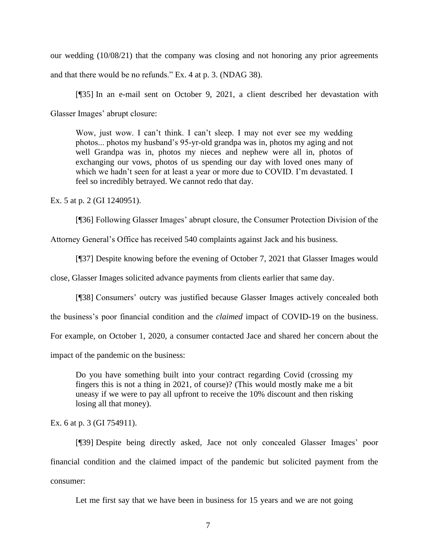our wedding (10/08/21) that the company was closing and not honoring any prior agreements and that there would be no refunds." Ex. 4 at p. 3. (NDAG 38).

[¶35] In an e-mail sent on October 9, 2021, a client described her devastation with Glasser Images' abrupt closure:

Wow, just wow. I can't think. I can't sleep. I may not ever see my wedding photos... photos my husband's 95-yr-old grandpa was in, photos my aging and not well Grandpa was in, photos my nieces and nephew were all in, photos of exchanging our vows, photos of us spending our day with loved ones many of which we hadn't seen for at least a year or more due to COVID. I'm devastated. I feel so incredibly betrayed. We cannot redo that day.

Ex. 5 at p. 2 (GI 1240951).

[¶36] Following Glasser Images' abrupt closure, the Consumer Protection Division of the

Attorney General's Office has received 540 complaints against Jack and his business.

[¶37] Despite knowing before the evening of October 7, 2021 that Glasser Images would

close, Glasser Images solicited advance payments from clients earlier that same day.

[¶38] Consumers' outcry was justified because Glasser Images actively concealed both

the business's poor financial condition and the *claimed* impact of COVID-19 on the business.

For example, on October 1, 2020, a consumer contacted Jace and shared her concern about the

impact of the pandemic on the business:

Do you have something built into your contract regarding Covid (crossing my fingers this is not a thing in 2021, of course)? (This would mostly make me a bit uneasy if we were to pay all upfront to receive the 10% discount and then risking losing all that money).

Ex. 6 at p. 3 (GI 754911).

[¶39] Despite being directly asked, Jace not only concealed Glasser Images' poor financial condition and the claimed impact of the pandemic but solicited payment from the consumer:

Let me first say that we have been in business for 15 years and we are not going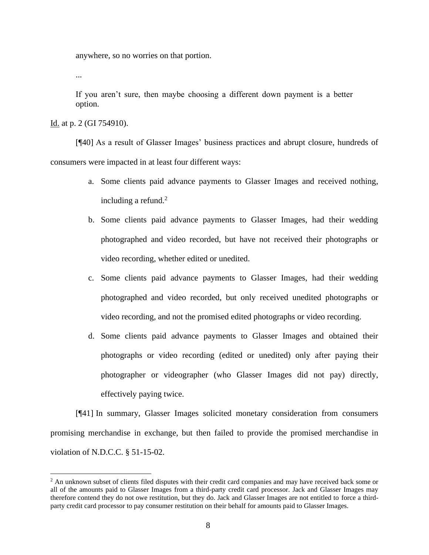anywhere, so no worries on that portion.

...

If you aren't sure, then maybe choosing a different down payment is a better option.

Id. at p. 2 (GI 754910).

[¶40] As a result of Glasser Images' business practices and abrupt closure, hundreds of consumers were impacted in at least four different ways:

- a. Some clients paid advance payments to Glasser Images and received nothing, including a refund.<sup>2</sup>
- b. Some clients paid advance payments to Glasser Images, had their wedding photographed and video recorded, but have not received their photographs or video recording, whether edited or unedited.
- c. Some clients paid advance payments to Glasser Images, had their wedding photographed and video recorded, but only received unedited photographs or video recording, and not the promised edited photographs or video recording.
- d. Some clients paid advance payments to Glasser Images and obtained their photographs or video recording (edited or unedited) only after paying their photographer or videographer (who Glasser Images did not pay) directly, effectively paying twice.

[¶41] In summary, Glasser Images solicited monetary consideration from consumers promising merchandise in exchange, but then failed to provide the promised merchandise in violation of N.D.C.C. § 51-15-02.

<sup>&</sup>lt;sup>2</sup> An unknown subset of clients filed disputes with their credit card companies and may have received back some or all of the amounts paid to Glasser Images from a third-party credit card processor. Jack and Glasser Images may therefore contend they do not owe restitution, but they do. Jack and Glasser Images are not entitled to force a thirdparty credit card processor to pay consumer restitution on their behalf for amounts paid to Glasser Images.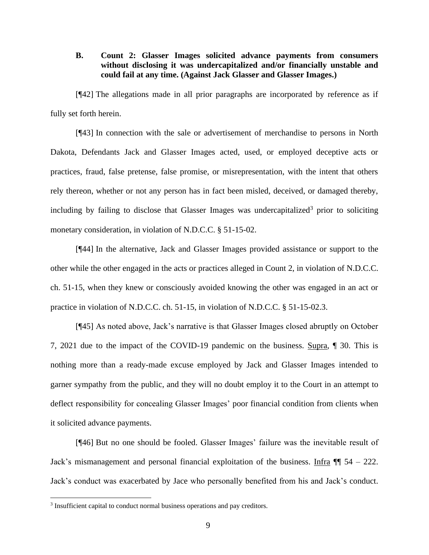## **B. Count 2: Glasser Images solicited advance payments from consumers without disclosing it was undercapitalized and/or financially unstable and could fail at any time. (Against Jack Glasser and Glasser Images.)**

[¶42] The allegations made in all prior paragraphs are incorporated by reference as if fully set forth herein.

[¶43] In connection with the sale or advertisement of merchandise to persons in North Dakota, Defendants Jack and Glasser Images acted, used, or employed deceptive acts or practices, fraud, false pretense, false promise, or misrepresentation, with the intent that others rely thereon, whether or not any person has in fact been misled, deceived, or damaged thereby, including by failing to disclose that Glasser Images was undercapitalized<sup>3</sup> prior to soliciting monetary consideration, in violation of N.D.C.C. § 51-15-02.

[¶44] In the alternative, Jack and Glasser Images provided assistance or support to the other while the other engaged in the acts or practices alleged in Count 2, in violation of N.D.C.C. ch. 51-15, when they knew or consciously avoided knowing the other was engaged in an act or practice in violation of N.D.C.C. ch. 51-15, in violation of N.D.C.C. § 51-15-02.3.

[¶45] As noted above, Jack's narrative is that Glasser Images closed abruptly on October 7, 2021 due to the impact of the COVID-19 pandemic on the business. Supra, ¶ 30. This is nothing more than a ready-made excuse employed by Jack and Glasser Images intended to garner sympathy from the public, and they will no doubt employ it to the Court in an attempt to deflect responsibility for concealing Glasser Images' poor financial condition from clients when it solicited advance payments.

[¶46] But no one should be fooled. Glasser Images' failure was the inevitable result of Jack's mismanagement and personal financial exploitation of the business. Infra  $\P$  54 – 222. Jack's conduct was exacerbated by Jace who personally benefited from his and Jack's conduct.

<sup>&</sup>lt;sup>3</sup> Insufficient capital to conduct normal business operations and pay creditors.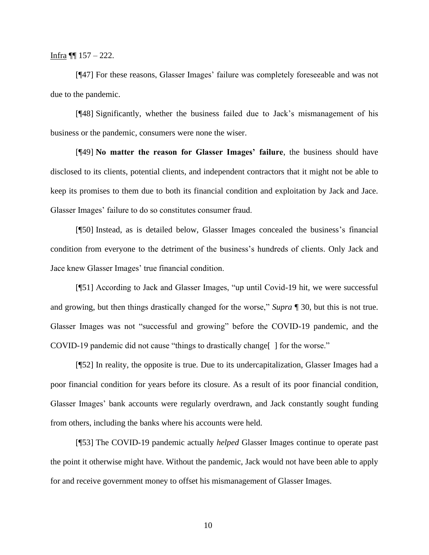Infra  $\P$  157 – 222.

[¶47] For these reasons, Glasser Images' failure was completely foreseeable and was not due to the pandemic.

[¶48] Significantly, whether the business failed due to Jack's mismanagement of his business or the pandemic, consumers were none the wiser.

[¶49] **No matter the reason for Glasser Images' failure**, the business should have disclosed to its clients, potential clients, and independent contractors that it might not be able to keep its promises to them due to both its financial condition and exploitation by Jack and Jace. Glasser Images' failure to do so constitutes consumer fraud.

[¶50] Instead, as is detailed below, Glasser Images concealed the business's financial condition from everyone to the detriment of the business's hundreds of clients. Only Jack and Jace knew Glasser Images' true financial condition.

[¶51] According to Jack and Glasser Images, "up until Covid-19 hit, we were successful and growing, but then things drastically changed for the worse," *Supra* ¶ 30, but this is not true. Glasser Images was not "successful and growing" before the COVID-19 pandemic, and the COVID-19 pandemic did not cause "things to drastically change[\_] for the worse."

[¶52] In reality, the opposite is true. Due to its undercapitalization, Glasser Images had a poor financial condition for years before its closure. As a result of its poor financial condition, Glasser Images' bank accounts were regularly overdrawn, and Jack constantly sought funding from others, including the banks where his accounts were held.

[¶53] The COVID-19 pandemic actually *helped* Glasser Images continue to operate past the point it otherwise might have. Without the pandemic, Jack would not have been able to apply for and receive government money to offset his mismanagement of Glasser Images.

10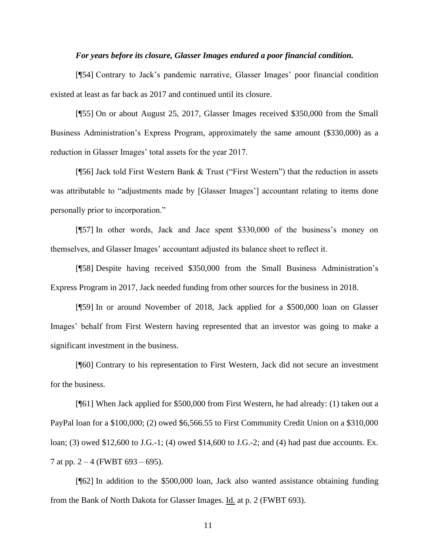#### *For years before its closure, Glasser Images endured a poor financial condition.*

[¶54] Contrary to Jack's pandemic narrative, Glasser Images' poor financial condition existed at least as far back as 2017 and continued until its closure.

[¶55] On or about August 25, 2017, Glasser Images received \$350,000 from the Small Business Administration's Express Program, approximately the same amount (\$330,000) as a reduction in Glasser Images' total assets for the year 2017.

[¶56] Jack told First Western Bank & Trust ("First Western") that the reduction in assets was attributable to "adjustments made by [Glasser Images'] accountant relating to items done personally prior to incorporation."

[¶57] In other words, Jack and Jace spent \$330,000 of the business's money on themselves, and Glasser Images' accountant adjusted its balance sheet to reflect it.

[¶58] Despite having received \$350,000 from the Small Business Administration's Express Program in 2017, Jack needed funding from other sources for the business in 2018.

[¶59] In or around November of 2018, Jack applied for a \$500,000 loan on Glasser Images' behalf from First Western having represented that an investor was going to make a significant investment in the business.

[¶60] Contrary to his representation to First Western, Jack did not secure an investment for the business.

[¶61] When Jack applied for \$500,000 from First Western, he had already: (1) taken out a PayPal loan for a \$100,000; (2) owed \$6,566.55 to First Community Credit Union on a \$310,000 loan; (3) owed \$12,600 to J.G.-1; (4) owed \$14,600 to J.G.-2; and (4) had past due accounts. Ex. 7 at pp.  $2 - 4$  (FWBT 693 – 695).

[¶62] In addition to the \$500,000 loan, Jack also wanted assistance obtaining funding from the Bank of North Dakota for Glasser Images. Id. at p. 2 (FWBT 693).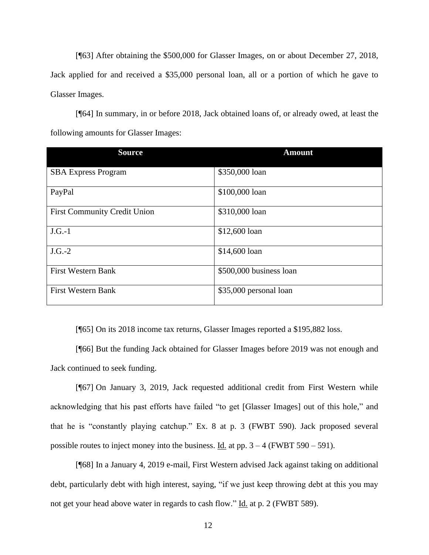[¶63] After obtaining the \$500,000 for Glasser Images, on or about December 27, 2018, Jack applied for and received a \$35,000 personal loan, all or a portion of which he gave to Glasser Images.

[¶64] In summary, in or before 2018, Jack obtained loans of, or already owed, at least the following amounts for Glasser Images:

| <b>Source</b>                       | <b>Amount</b>           |
|-------------------------------------|-------------------------|
| <b>SBA Express Program</b>          | \$350,000 loan          |
| PayPal                              | \$100,000 loan          |
| <b>First Community Credit Union</b> | \$310,000 loan          |
| $J.G.-1$                            | \$12,600 loan           |
| $J.G.-2$                            | \$14,600 loan           |
| <b>First Western Bank</b>           | \$500,000 business loan |
| <b>First Western Bank</b>           | \$35,000 personal loan  |

[¶65] On its 2018 income tax returns, Glasser Images reported a \$195,882 loss.

[¶66] But the funding Jack obtained for Glasser Images before 2019 was not enough and Jack continued to seek funding.

[¶67] On January 3, 2019, Jack requested additional credit from First Western while acknowledging that his past efforts have failed "to get [Glasser Images] out of this hole," and that he is "constantly playing catchup." Ex. 8 at p. 3 (FWBT 590). Jack proposed several possible routes to inject money into the business. Id. at pp.  $3 - 4$  (FWBT 590 – 591).

[¶68] In a January 4, 2019 e-mail, First Western advised Jack against taking on additional debt, particularly debt with high interest, saying, "if we just keep throwing debt at this you may not get your head above water in regards to cash flow." Id. at p. 2 (FWBT 589).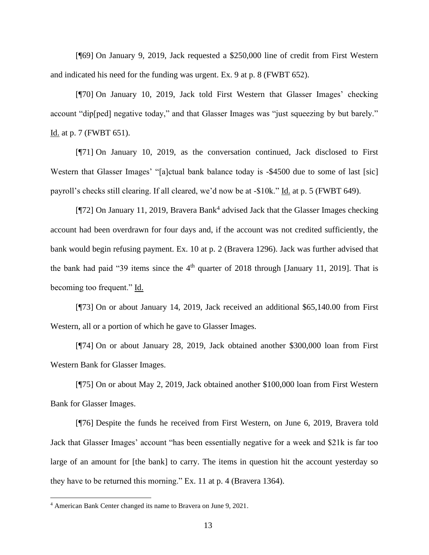[¶69] On January 9, 2019, Jack requested a \$250,000 line of credit from First Western and indicated his need for the funding was urgent. Ex. 9 at p. 8 (FWBT 652).

[¶70] On January 10, 2019, Jack told First Western that Glasser Images' checking account "dip[ped] negative today," and that Glasser Images was "just squeezing by but barely." Id. at p. 7 (FWBT 651).

[¶71] On January 10, 2019, as the conversation continued, Jack disclosed to First Western that Glasser Images' "[a]ctual bank balance today is -\$4500 due to some of last [sic] payroll's checks still clearing. If all cleared, we'd now be at -\$10k." Id. at p. 5 (FWBT 649).

[¶72] On January 11, 2019, Bravera Bank<sup>4</sup> advised Jack that the Glasser Images checking account had been overdrawn for four days and, if the account was not credited sufficiently, the bank would begin refusing payment. Ex. 10 at p. 2 (Bravera 1296). Jack was further advised that the bank had paid "39 items since the  $4<sup>th</sup>$  quarter of 2018 through [January 11, 2019]. That is becoming too frequent." Id.

[¶73] On or about January 14, 2019, Jack received an additional \$65,140.00 from First Western, all or a portion of which he gave to Glasser Images.

[¶74] On or about January 28, 2019, Jack obtained another \$300,000 loan from First Western Bank for Glasser Images.

[¶75] On or about May 2, 2019, Jack obtained another \$100,000 loan from First Western Bank for Glasser Images.

[¶76] Despite the funds he received from First Western, on June 6, 2019, Bravera told Jack that Glasser Images' account "has been essentially negative for a week and \$21k is far too large of an amount for [the bank] to carry. The items in question hit the account yesterday so they have to be returned this morning." Ex. 11 at p. 4 (Bravera 1364).

<sup>4</sup> American Bank Center changed its name to Bravera on June 9, 2021.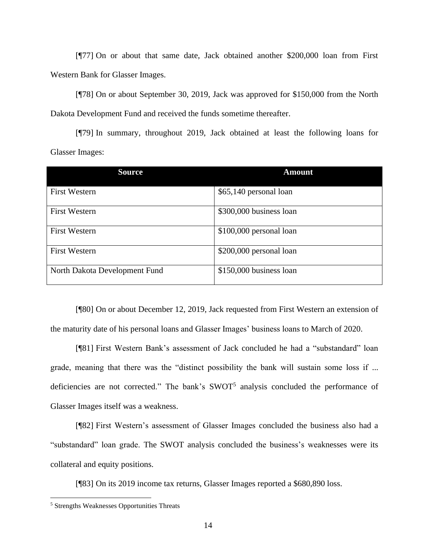[¶77] On or about that same date, Jack obtained another \$200,000 loan from First Western Bank for Glasser Images.

[¶78] On or about September 30, 2019, Jack was approved for \$150,000 from the North Dakota Development Fund and received the funds sometime thereafter.

[¶79] In summary, throughout 2019, Jack obtained at least the following loans for Glasser Images:

| <b>Source</b>                 | <b>Amount</b>           |
|-------------------------------|-------------------------|
| <b>First Western</b>          | \$65,140 personal loan  |
| <b>First Western</b>          | \$300,000 business loan |
| <b>First Western</b>          | \$100,000 personal loan |
| <b>First Western</b>          | \$200,000 personal loan |
| North Dakota Development Fund | \$150,000 business loan |

[¶80] On or about December 12, 2019, Jack requested from First Western an extension of the maturity date of his personal loans and Glasser Images' business loans to March of 2020.

[¶81] First Western Bank's assessment of Jack concluded he had a "substandard" loan grade, meaning that there was the "distinct possibility the bank will sustain some loss if ... deficiencies are not corrected." The bank's  $SWOT<sup>5</sup>$  analysis concluded the performance of Glasser Images itself was a weakness.

[¶82] First Western's assessment of Glasser Images concluded the business also had a "substandard" loan grade. The SWOT analysis concluded the business's weaknesses were its collateral and equity positions.

[¶83] On its 2019 income tax returns, Glasser Images reported a \$680,890 loss.

<sup>5</sup> Strengths Weaknesses Opportunities Threats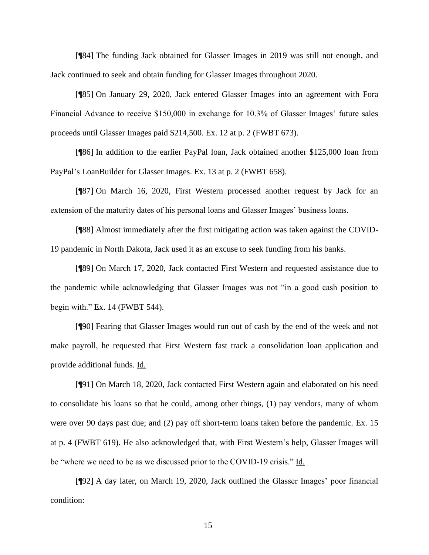[¶84] The funding Jack obtained for Glasser Images in 2019 was still not enough, and Jack continued to seek and obtain funding for Glasser Images throughout 2020.

[¶85] On January 29, 2020, Jack entered Glasser Images into an agreement with Fora Financial Advance to receive \$150,000 in exchange for 10.3% of Glasser Images' future sales proceeds until Glasser Images paid \$214,500. Ex. 12 at p. 2 (FWBT 673).

[¶86] In addition to the earlier PayPal loan, Jack obtained another \$125,000 loan from PayPal's LoanBuilder for Glasser Images. Ex. 13 at p. 2 (FWBT 658).

[¶87] On March 16, 2020, First Western processed another request by Jack for an extension of the maturity dates of his personal loans and Glasser Images' business loans.

[¶88] Almost immediately after the first mitigating action was taken against the COVID-19 pandemic in North Dakota, Jack used it as an excuse to seek funding from his banks.

[¶89] On March 17, 2020, Jack contacted First Western and requested assistance due to the pandemic while acknowledging that Glasser Images was not "in a good cash position to begin with." Ex. 14 (FWBT 544).

[¶90] Fearing that Glasser Images would run out of cash by the end of the week and not make payroll, he requested that First Western fast track a consolidation loan application and provide additional funds. Id.

[¶91] On March 18, 2020, Jack contacted First Western again and elaborated on his need to consolidate his loans so that he could, among other things, (1) pay vendors, many of whom were over 90 days past due; and (2) pay off short-term loans taken before the pandemic. Ex. 15 at p. 4 (FWBT 619). He also acknowledged that, with First Western's help, Glasser Images will be "where we need to be as we discussed prior to the COVID-19 crisis." Id.

[¶92] A day later, on March 19, 2020, Jack outlined the Glasser Images' poor financial condition: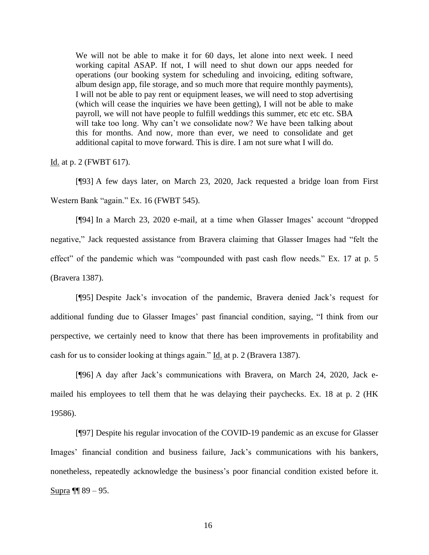We will not be able to make it for 60 days, let alone into next week. I need working capital ASAP. If not, I will need to shut down our apps needed for operations (our booking system for scheduling and invoicing, editing software, album design app, file storage, and so much more that require monthly payments), I will not be able to pay rent or equipment leases, we will need to stop advertising (which will cease the inquiries we have been getting), I will not be able to make payroll, we will not have people to fulfill weddings this summer, etc etc etc. SBA will take too long. Why can't we consolidate now? We have been talking about this for months. And now, more than ever, we need to consolidate and get additional capital to move forward. This is dire. I am not sure what I will do.

Id. at p. 2 (FWBT 617).

[¶93] A few days later, on March 23, 2020, Jack requested a bridge loan from First Western Bank "again." Ex. 16 (FWBT 545).

[¶94] In a March 23, 2020 e-mail, at a time when Glasser Images' account "dropped negative," Jack requested assistance from Bravera claiming that Glasser Images had "felt the effect" of the pandemic which was "compounded with past cash flow needs." Ex. 17 at p. 5 (Bravera 1387).

[¶95] Despite Jack's invocation of the pandemic, Bravera denied Jack's request for additional funding due to Glasser Images' past financial condition, saying, "I think from our perspective, we certainly need to know that there has been improvements in profitability and cash for us to consider looking at things again." Id. at p. 2 (Bravera 1387).

[¶96] A day after Jack's communications with Bravera, on March 24, 2020, Jack emailed his employees to tell them that he was delaying their paychecks. Ex. 18 at p. 2 (HK 19586).

[¶97] Despite his regular invocation of the COVID-19 pandemic as an excuse for Glasser Images' financial condition and business failure, Jack's communications with his bankers, nonetheless, repeatedly acknowledge the business's poor financial condition existed before it. Supra  $\P$  89 – 95.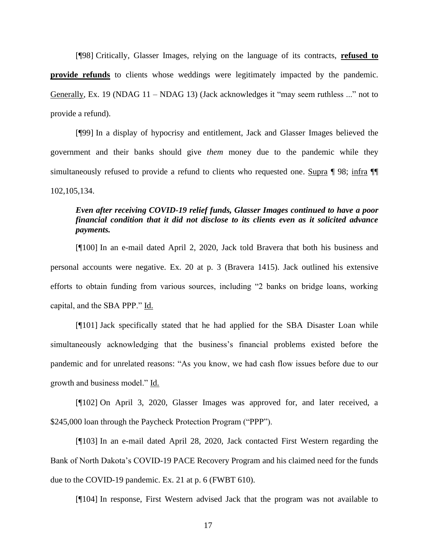[¶98] Critically, Glasser Images, relying on the language of its contracts, **refused to provide refunds** to clients whose weddings were legitimately impacted by the pandemic. Generally, Ex. 19 (NDAG 11 – NDAG 13) (Jack acknowledges it "may seem ruthless ..." not to provide a refund).

[¶99] In a display of hypocrisy and entitlement, Jack and Glasser Images believed the government and their banks should give *them* money due to the pandemic while they simultaneously refused to provide a refund to clients who requested one. Supra ¶ 98; infra ¶¶ 102,105,134.

# *Even after receiving COVID-19 relief funds, Glasser Images continued to have a poor financial condition that it did not disclose to its clients even as it solicited advance payments.*

[¶100] In an e-mail dated April 2, 2020, Jack told Bravera that both his business and personal accounts were negative. Ex. 20 at p. 3 (Bravera 1415). Jack outlined his extensive efforts to obtain funding from various sources, including "2 banks on bridge loans, working capital, and the SBA PPP." Id.

[¶101] Jack specifically stated that he had applied for the SBA Disaster Loan while simultaneously acknowledging that the business's financial problems existed before the pandemic and for unrelated reasons: "As you know, we had cash flow issues before due to our growth and business model." Id.

[¶102] On April 3, 2020, Glasser Images was approved for, and later received, a \$245,000 loan through the Paycheck Protection Program ("PPP").

[¶103] In an e-mail dated April 28, 2020, Jack contacted First Western regarding the Bank of North Dakota's COVID-19 PACE Recovery Program and his claimed need for the funds due to the COVID-19 pandemic. Ex. 21 at p. 6 (FWBT 610).

[¶104] In response, First Western advised Jack that the program was not available to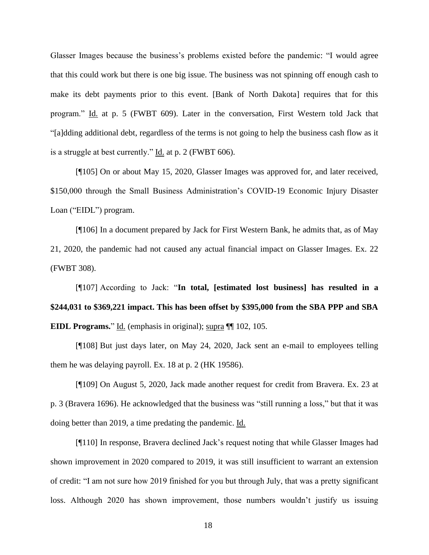Glasser Images because the business's problems existed before the pandemic: "I would agree that this could work but there is one big issue. The business was not spinning off enough cash to make its debt payments prior to this event. [Bank of North Dakota] requires that for this program." Id. at p. 5 (FWBT 609). Later in the conversation, First Western told Jack that "[a]dding additional debt, regardless of the terms is not going to help the business cash flow as it is a struggle at best currently." Id. at p. 2 (FWBT 606).

[¶105] On or about May 15, 2020, Glasser Images was approved for, and later received, \$150,000 through the Small Business Administration's COVID-19 Economic Injury Disaster Loan ("EIDL") program.

[¶106] In a document prepared by Jack for First Western Bank, he admits that, as of May 21, 2020, the pandemic had not caused any actual financial impact on Glasser Images. Ex. 22 (FWBT 308).

[¶107] According to Jack: "**In total, [estimated lost business] has resulted in a \$244,031 to \$369,221 impact. This has been offset by \$395,000 from the SBA PPP and SBA EIDL Programs.**" Id. (emphasis in original); supra ¶¶ 102, 105.

[¶108] But just days later, on May 24, 2020, Jack sent an e-mail to employees telling them he was delaying payroll. Ex. 18 at p. 2 (HK 19586).

[¶109] On August 5, 2020, Jack made another request for credit from Bravera. Ex. 23 at p. 3 (Bravera 1696). He acknowledged that the business was "still running a loss," but that it was doing better than 2019, a time predating the pandemic. Id.

[¶110] In response, Bravera declined Jack's request noting that while Glasser Images had shown improvement in 2020 compared to 2019, it was still insufficient to warrant an extension of credit: "I am not sure how 2019 finished for you but through July, that was a pretty significant loss. Although 2020 has shown improvement, those numbers wouldn't justify us issuing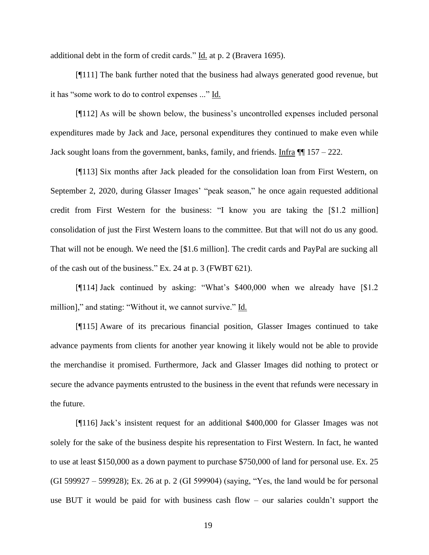additional debt in the form of credit cards." Id. at p. 2 (Bravera 1695).

[¶111] The bank further noted that the business had always generated good revenue, but it has "some work to do to control expenses ..." Id.

[¶112] As will be shown below, the business's uncontrolled expenses included personal expenditures made by Jack and Jace, personal expenditures they continued to make even while Jack sought loans from the government, banks, family, and friends. Infra  $\P$  157 – 222.

[¶113] Six months after Jack pleaded for the consolidation loan from First Western, on September 2, 2020, during Glasser Images' "peak season," he once again requested additional credit from First Western for the business: "I know you are taking the [\$1.2 million] consolidation of just the First Western loans to the committee. But that will not do us any good. That will not be enough. We need the [\$1.6 million]. The credit cards and PayPal are sucking all of the cash out of the business." Ex. 24 at p. 3 (FWBT 621).

[¶114] Jack continued by asking: "What's \$400,000 when we already have [\$1.2 million]," and stating: "Without it, we cannot survive." Id.

[¶115] Aware of its precarious financial position, Glasser Images continued to take advance payments from clients for another year knowing it likely would not be able to provide the merchandise it promised. Furthermore, Jack and Glasser Images did nothing to protect or secure the advance payments entrusted to the business in the event that refunds were necessary in the future.

[¶116] Jack's insistent request for an additional \$400,000 for Glasser Images was not solely for the sake of the business despite his representation to First Western. In fact, he wanted to use at least \$150,000 as a down payment to purchase \$750,000 of land for personal use. Ex. 25 (GI 599927 – 599928); Ex. 26 at p. 2 (GI 599904) (saying, "Yes, the land would be for personal use BUT it would be paid for with business cash flow – our salaries couldn't support the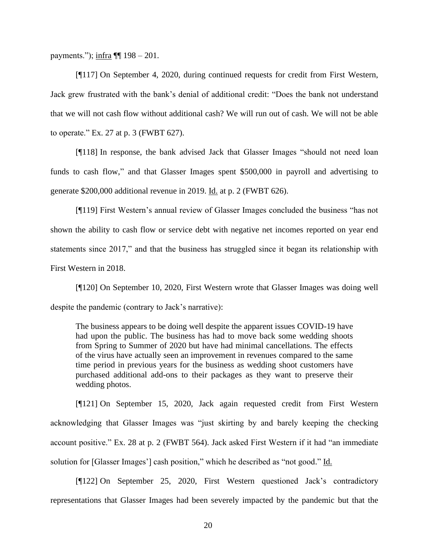payments.");  $\inf$ ra ¶[ 198 – 201.

[¶117] On September 4, 2020, during continued requests for credit from First Western, Jack grew frustrated with the bank's denial of additional credit: "Does the bank not understand that we will not cash flow without additional cash? We will run out of cash. We will not be able to operate." Ex. 27 at p. 3 (FWBT 627).

[¶118] In response, the bank advised Jack that Glasser Images "should not need loan funds to cash flow," and that Glasser Images spent \$500,000 in payroll and advertising to generate \$200,000 additional revenue in 2019. Id. at p. 2 (FWBT 626).

[¶119] First Western's annual review of Glasser Images concluded the business "has not shown the ability to cash flow or service debt with negative net incomes reported on year end statements since 2017," and that the business has struggled since it began its relationship with First Western in 2018.

[¶120] On September 10, 2020, First Western wrote that Glasser Images was doing well despite the pandemic (contrary to Jack's narrative):

The business appears to be doing well despite the apparent issues COVID-19 have had upon the public. The business has had to move back some wedding shoots from Spring to Summer of 2020 but have had minimal cancellations. The effects of the virus have actually seen an improvement in revenues compared to the same time period in previous years for the business as wedding shoot customers have purchased additional add-ons to their packages as they want to preserve their wedding photos.

[¶121] On September 15, 2020, Jack again requested credit from First Western acknowledging that Glasser Images was "just skirting by and barely keeping the checking account positive." Ex. 28 at p. 2 (FWBT 564). Jack asked First Western if it had "an immediate solution for [Glasser Images'] cash position," which he described as "not good." Id.

[¶122] On September 25, 2020, First Western questioned Jack's contradictory representations that Glasser Images had been severely impacted by the pandemic but that the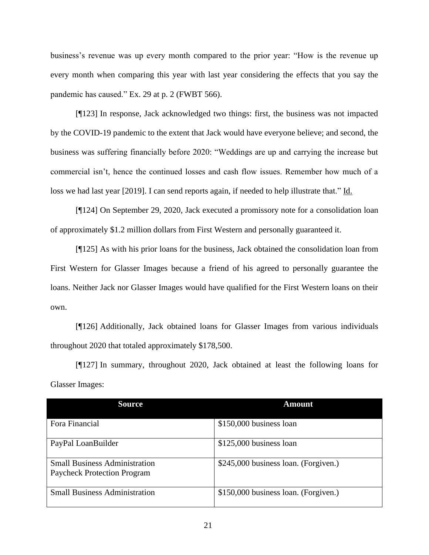business's revenue was up every month compared to the prior year: "How is the revenue up every month when comparing this year with last year considering the effects that you say the pandemic has caused." Ex. 29 at p. 2 (FWBT 566).

[¶123] In response, Jack acknowledged two things: first, the business was not impacted by the COVID-19 pandemic to the extent that Jack would have everyone believe; and second, the business was suffering financially before 2020: "Weddings are up and carrying the increase but commercial isn't, hence the continued losses and cash flow issues. Remember how much of a loss we had last year [2019]. I can send reports again, if needed to help illustrate that." Id.

[¶124] On September 29, 2020, Jack executed a promissory note for a consolidation loan of approximately \$1.2 million dollars from First Western and personally guaranteed it.

[¶125] As with his prior loans for the business, Jack obtained the consolidation loan from First Western for Glasser Images because a friend of his agreed to personally guarantee the loans. Neither Jack nor Glasser Images would have qualified for the First Western loans on their own.

[¶126] Additionally, Jack obtained loans for Glasser Images from various individuals throughout 2020 that totaled approximately \$178,500.

[¶127] In summary, throughout 2020, Jack obtained at least the following loans for Glasser Images:

| <b>Source</b>                                                              | <b>Amount</b>                        |
|----------------------------------------------------------------------------|--------------------------------------|
| Fora Financial                                                             | \$150,000 business loan              |
| PayPal LoanBuilder                                                         | $$125,000$ business loan             |
| <b>Small Business Administration</b><br><b>Paycheck Protection Program</b> | \$245,000 business loan. (Forgiven.) |
| <b>Small Business Administration</b>                                       | \$150,000 business loan. (Forgiven.) |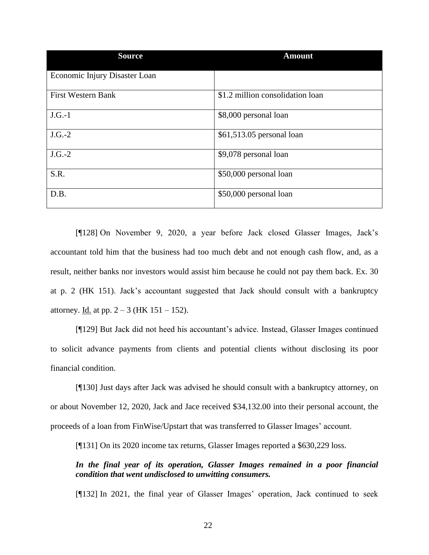| <b>Source</b>                 | <b>Amount</b>                    |
|-------------------------------|----------------------------------|
| Economic Injury Disaster Loan |                                  |
| <b>First Western Bank</b>     | \$1.2 million consolidation loan |
| $J.G.-1$                      | \$8,000 personal loan            |
| $J.G.-2$                      | \$61,513.05 personal loan        |
| $J.G.-2$                      | \$9,078 personal loan            |
| S.R.                          | \$50,000 personal loan           |
| D.B.                          | \$50,000 personal loan           |

[¶128] On November 9, 2020, a year before Jack closed Glasser Images, Jack's accountant told him that the business had too much debt and not enough cash flow, and, as a result, neither banks nor investors would assist him because he could not pay them back. Ex. 30 at p. 2 (HK 151). Jack's accountant suggested that Jack should consult with a bankruptcy attorney. Id. at pp.  $2 - 3$  (HK 151 – 152).

[¶129] But Jack did not heed his accountant's advice. Instead, Glasser Images continued to solicit advance payments from clients and potential clients without disclosing its poor financial condition.

[¶130] Just days after Jack was advised he should consult with a bankruptcy attorney, on or about November 12, 2020, Jack and Jace received \$34,132.00 into their personal account, the proceeds of a loan from FinWise/Upstart that was transferred to Glasser Images' account.

[¶131] On its 2020 income tax returns, Glasser Images reported a \$630,229 loss.

*In the final year of its operation, Glasser Images remained in a poor financial condition that went undisclosed to unwitting consumers.*

[¶132] In 2021, the final year of Glasser Images' operation, Jack continued to seek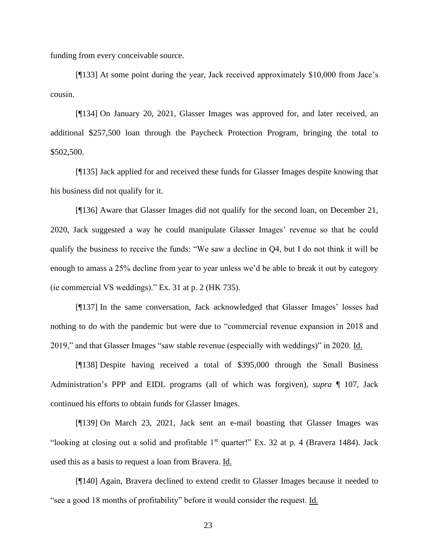funding from every conceivable source.

[¶133] At some point during the year, Jack received approximately \$10,000 from Jace's cousin.

[¶134] On January 20, 2021, Glasser Images was approved for, and later received, an additional \$257,500 loan through the Paycheck Protection Program, bringing the total to \$502,500.

[¶135] Jack applied for and received these funds for Glasser Images despite knowing that his business did not qualify for it.

[¶136] Aware that Glasser Images did not qualify for the second loan, on December 21, 2020, Jack suggested a way he could manipulate Glasser Images' revenue so that he could qualify the business to receive the funds: "We saw a decline in Q4, but I do not think it will be enough to amass a 25% decline from year to year unless we'd be able to break it out by category (ie commercial VS weddings)." Ex. 31 at p. 2 (HK 735).

[¶137] In the same conversation, Jack acknowledged that Glasser Images' losses had nothing to do with the pandemic but were due to "commercial revenue expansion in 2018 and 2019," and that Glasser Images "saw stable revenue (especially with weddings)" in 2020. Id.

[¶138] Despite having received a total of \$395,000 through the Small Business Administration's PPP and EIDL programs (all of which was forgiven), *supra* ¶ 107, Jack continued his efforts to obtain funds for Glasser Images.

[¶139] On March 23, 2021, Jack sent an e-mail boasting that Glasser Images was "looking at closing out a solid and profitable  $1<sup>st</sup>$  quarter!" Ex. 32 at p. 4 (Bravera 1484). Jack used this as a basis to request a loan from Bravera. Id.

[¶140] Again, Bravera declined to extend credit to Glasser Images because it needed to "see a good 18 months of profitability" before it would consider the request. Id.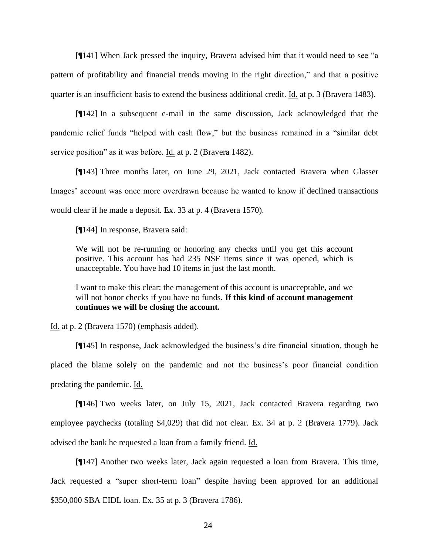[¶141] When Jack pressed the inquiry, Bravera advised him that it would need to see "a pattern of profitability and financial trends moving in the right direction," and that a positive quarter is an insufficient basis to extend the business additional credit. Id. at p. 3 (Bravera 1483).

[¶142] In a subsequent e-mail in the same discussion, Jack acknowledged that the pandemic relief funds "helped with cash flow," but the business remained in a "similar debt service position" as it was before. <u>Id.</u> at p. 2 (Bravera 1482).

[¶143] Three months later, on June 29, 2021, Jack contacted Bravera when Glasser Images' account was once more overdrawn because he wanted to know if declined transactions would clear if he made a deposit. Ex. 33 at p. 4 (Bravera 1570).

[¶144] In response, Bravera said:

We will not be re-running or honoring any checks until you get this account positive. This account has had 235 NSF items since it was opened, which is unacceptable. You have had 10 items in just the last month.

I want to make this clear: the management of this account is unacceptable, and we will not honor checks if you have no funds. If this kind of account management **continues we will be closing the account.**

Id. at p. 2 (Bravera 1570) (emphasis added).

[¶145] In response, Jack acknowledged the business's dire financial situation, though he placed the blame solely on the pandemic and not the business's poor financial condition predating the pandemic. Id.

[¶146] Two weeks later, on July 15, 2021, Jack contacted Bravera regarding two employee paychecks (totaling \$4,029) that did not clear. Ex. 34 at p. 2 (Bravera 1779). Jack advised the bank he requested a loan from a family friend. Id.

[¶147] Another two weeks later, Jack again requested a loan from Bravera. This time, Jack requested a "super short-term loan" despite having been approved for an additional \$350,000 SBA EIDL loan. Ex. 35 at p. 3 (Bravera 1786).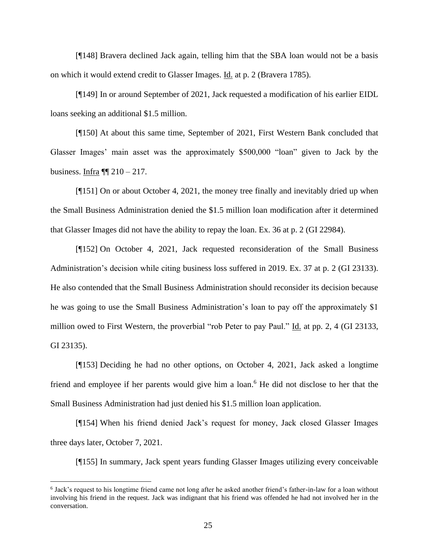[¶148] Bravera declined Jack again, telling him that the SBA loan would not be a basis on which it would extend credit to Glasser Images. Id. at p. 2 (Bravera 1785).

[¶149] In or around September of 2021, Jack requested a modification of his earlier EIDL loans seeking an additional \$1.5 million.

[¶150] At about this same time, September of 2021, First Western Bank concluded that Glasser Images' main asset was the approximately \$500,000 "loan" given to Jack by the business. Infra  $\P\P$  210 – 217.

[¶151] On or about October 4, 2021, the money tree finally and inevitably dried up when the Small Business Administration denied the \$1.5 million loan modification after it determined that Glasser Images did not have the ability to repay the loan. Ex. 36 at p. 2 (GI 22984).

[¶152] On October 4, 2021, Jack requested reconsideration of the Small Business Administration's decision while citing business loss suffered in 2019. Ex. 37 at p. 2 (GI 23133). He also contended that the Small Business Administration should reconsider its decision because he was going to use the Small Business Administration's loan to pay off the approximately \$1 million owed to First Western, the proverbial "rob Peter to pay Paul." Id. at pp. 2, 4 (GI 23133, GI 23135).

[¶153] Deciding he had no other options, on October 4, 2021, Jack asked a longtime friend and employee if her parents would give him a loan. <sup>6</sup> He did not disclose to her that the Small Business Administration had just denied his \$1.5 million loan application.

[¶154] When his friend denied Jack's request for money, Jack closed Glasser Images three days later, October 7, 2021.

[¶155] In summary, Jack spent years funding Glasser Images utilizing every conceivable

<sup>6</sup> Jack's request to his longtime friend came not long after he asked another friend's father-in-law for a loan without involving his friend in the request. Jack was indignant that his friend was offended he had not involved her in the conversation.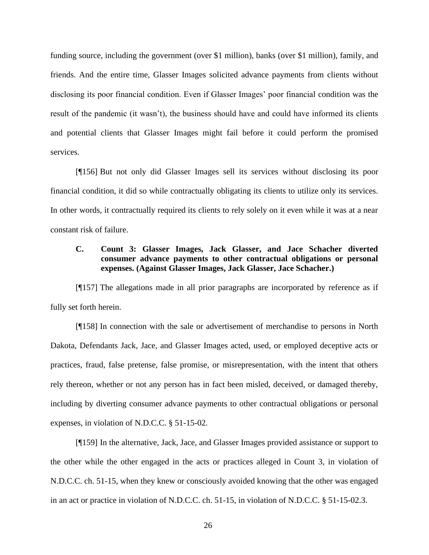funding source, including the government (over \$1 million), banks (over \$1 million), family, and friends. And the entire time, Glasser Images solicited advance payments from clients without disclosing its poor financial condition. Even if Glasser Images' poor financial condition was the result of the pandemic (it wasn't), the business should have and could have informed its clients and potential clients that Glasser Images might fail before it could perform the promised services.

[¶156] But not only did Glasser Images sell its services without disclosing its poor financial condition, it did so while contractually obligating its clients to utilize only its services. In other words, it contractually required its clients to rely solely on it even while it was at a near constant risk of failure.

# **C. Count 3: Glasser Images, Jack Glasser, and Jace Schacher diverted consumer advance payments to other contractual obligations or personal expenses. (Against Glasser Images, Jack Glasser, Jace Schacher.)**

[¶157] The allegations made in all prior paragraphs are incorporated by reference as if fully set forth herein.

[¶158] In connection with the sale or advertisement of merchandise to persons in North Dakota, Defendants Jack, Jace, and Glasser Images acted, used, or employed deceptive acts or practices, fraud, false pretense, false promise, or misrepresentation, with the intent that others rely thereon, whether or not any person has in fact been misled, deceived, or damaged thereby, including by diverting consumer advance payments to other contractual obligations or personal expenses, in violation of N.D.C.C. § 51-15-02.

[¶159] In the alternative, Jack, Jace, and Glasser Images provided assistance or support to the other while the other engaged in the acts or practices alleged in Count 3, in violation of N.D.C.C. ch. 51-15, when they knew or consciously avoided knowing that the other was engaged in an act or practice in violation of N.D.C.C. ch. 51-15, in violation of N.D.C.C. § 51-15-02.3.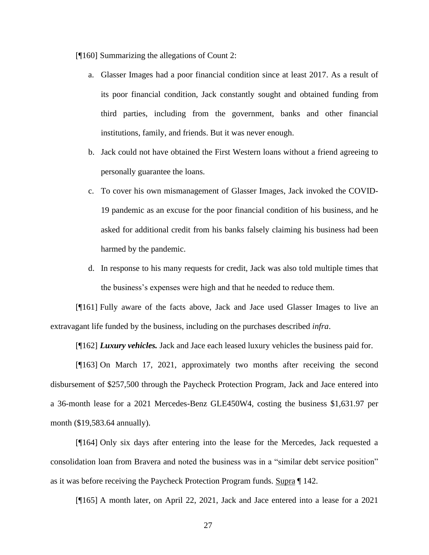[¶160] Summarizing the allegations of Count 2:

- a. Glasser Images had a poor financial condition since at least 2017. As a result of its poor financial condition, Jack constantly sought and obtained funding from third parties, including from the government, banks and other financial institutions, family, and friends. But it was never enough.
- b. Jack could not have obtained the First Western loans without a friend agreeing to personally guarantee the loans.
- c. To cover his own mismanagement of Glasser Images, Jack invoked the COVID-19 pandemic as an excuse for the poor financial condition of his business, and he asked for additional credit from his banks falsely claiming his business had been harmed by the pandemic.
- d. In response to his many requests for credit, Jack was also told multiple times that the business's expenses were high and that he needed to reduce them.

[¶161] Fully aware of the facts above, Jack and Jace used Glasser Images to live an extravagant life funded by the business, including on the purchases described *infra*.

[¶162] *Luxury vehicles.* Jack and Jace each leased luxury vehicles the business paid for.

[¶163] On March 17, 2021, approximately two months after receiving the second disbursement of \$257,500 through the Paycheck Protection Program, Jack and Jace entered into a 36-month lease for a 2021 Mercedes-Benz GLE450W4, costing the business \$1,631.97 per month (\$19,583.64 annually).

[¶164] Only six days after entering into the lease for the Mercedes, Jack requested a consolidation loan from Bravera and noted the business was in a "similar debt service position" as it was before receiving the Paycheck Protection Program funds. Supra ¶ 142.

[¶165] A month later, on April 22, 2021, Jack and Jace entered into a lease for a 2021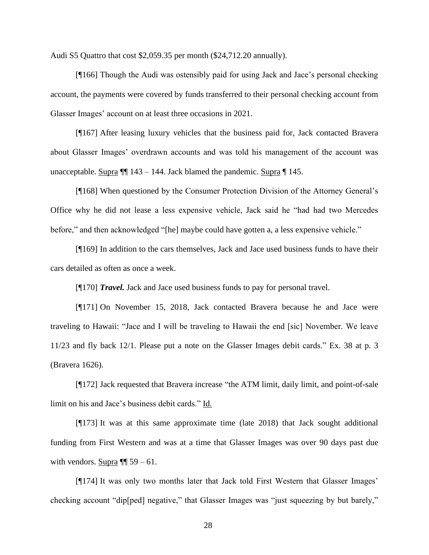Audi S5 Quattro that cost \$2,059.35 per month (\$24,712.20 annually).

[¶166] Though the Audi was ostensibly paid for using Jack and Jace's personal checking account, the payments were covered by funds transferred to their personal checking account from Glasser Images' account on at least three occasions in 2021.

[¶167] After leasing luxury vehicles that the business paid for, Jack contacted Bravera about Glasser Images' overdrawn accounts and was told his management of the account was unacceptable. Supra  $\P$  143 – 144. Jack blamed the pandemic. Supra  $\P$  145.

[¶168] When questioned by the Consumer Protection Division of the Attorney General's Office why he did not lease a less expensive vehicle, Jack said he "had had two Mercedes before," and then acknowledged "[he] maybe could have gotten a, a less expensive vehicle."

[¶169] In addition to the cars themselves, Jack and Jace used business funds to have their cars detailed as often as once a week.

[¶170] *Travel.* Jack and Jace used business funds to pay for personal travel.

[¶171] On November 15, 2018, Jack contacted Bravera because he and Jace were traveling to Hawaii: "Jace and I will be traveling to Hawaii the end [sic] November. We leave 11/23 and fly back 12/1. Please put a note on the Glasser Images debit cards." Ex. 38 at p. 3 (Bravera 1626).

[¶172] Jack requested that Bravera increase "the ATM limit, daily limit, and point-of-sale limit on his and Jace's business debit cards." Id.

[¶173] It was at this same approximate time (late 2018) that Jack sought additional funding from First Western and was at a time that Glasser Images was over 90 days past due with vendors. Supra  $\P$  59 – 61.

[¶174] It was only two months later that Jack told First Western that Glasser Images' checking account "dip[ped] negative," that Glasser Images was "just squeezing by but barely,"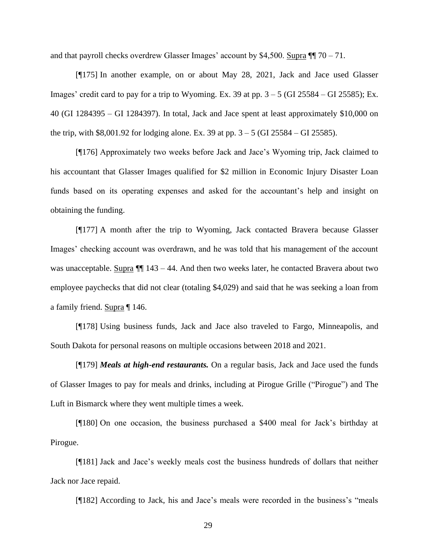and that payroll checks overdrew Glasser Images' account by \$4,500. Supra  $\P$   $\eta$  70 – 71.

[¶175] In another example, on or about May 28, 2021, Jack and Jace used Glasser Images' credit card to pay for a trip to Wyoming. Ex. 39 at pp.  $3 - 5$  (GI 25584 – GI 25585); Ex. 40 (GI 1284395 – GI 1284397). In total, Jack and Jace spent at least approximately \$10,000 on the trip, with \$8,001.92 for lodging alone. Ex. 39 at pp. 3 – 5 (GI 25584 – GI 25585).

[¶176] Approximately two weeks before Jack and Jace's Wyoming trip, Jack claimed to his accountant that Glasser Images qualified for \$2 million in Economic Injury Disaster Loan funds based on its operating expenses and asked for the accountant's help and insight on obtaining the funding.

[¶177] A month after the trip to Wyoming, Jack contacted Bravera because Glasser Images' checking account was overdrawn, and he was told that his management of the account was unacceptable. Supra  $\P$  143 – 44. And then two weeks later, he contacted Bravera about two employee paychecks that did not clear (totaling \$4,029) and said that he was seeking a loan from a family friend. Supra ¶ 146.

[¶178] Using business funds, Jack and Jace also traveled to Fargo, Minneapolis, and South Dakota for personal reasons on multiple occasions between 2018 and 2021.

[¶179] *Meals at high-end restaurants.* On a regular basis, Jack and Jace used the funds of Glasser Images to pay for meals and drinks, including at Pirogue Grille ("Pirogue") and The Luft in Bismarck where they went multiple times a week.

[¶180] On one occasion, the business purchased a \$400 meal for Jack's birthday at Pirogue.

[¶181] Jack and Jace's weekly meals cost the business hundreds of dollars that neither Jack nor Jace repaid.

[¶182] According to Jack, his and Jace's meals were recorded in the business's "meals"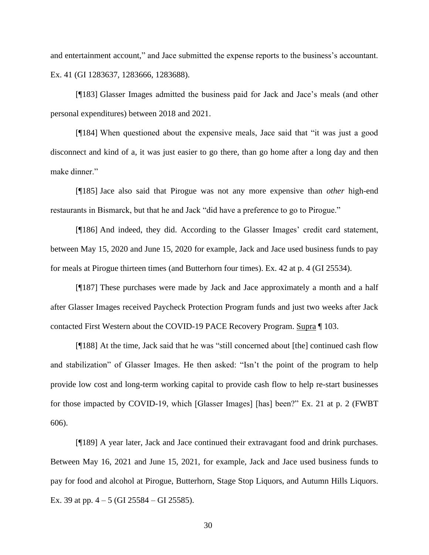and entertainment account," and Jace submitted the expense reports to the business's accountant. Ex. 41 (GI 1283637, 1283666, 1283688).

[¶183] Glasser Images admitted the business paid for Jack and Jace's meals (and other personal expenditures) between 2018 and 2021.

[¶184] When questioned about the expensive meals, Jace said that "it was just a good disconnect and kind of a, it was just easier to go there, than go home after a long day and then make dinner."

[¶185] Jace also said that Pirogue was not any more expensive than *other* high-end restaurants in Bismarck, but that he and Jack "did have a preference to go to Pirogue."

[¶186] And indeed, they did. According to the Glasser Images' credit card statement, between May 15, 2020 and June 15, 2020 for example, Jack and Jace used business funds to pay for meals at Pirogue thirteen times (and Butterhorn four times). Ex. 42 at p. 4 (GI 25534).

[¶187] These purchases were made by Jack and Jace approximately a month and a half after Glasser Images received Paycheck Protection Program funds and just two weeks after Jack contacted First Western about the COVID-19 PACE Recovery Program. Supra ¶ 103.

[¶188] At the time, Jack said that he was "still concerned about [the] continued cash flow and stabilization" of Glasser Images. He then asked: "Isn't the point of the program to help provide low cost and long-term working capital to provide cash flow to help re-start businesses for those impacted by COVID-19, which [Glasser Images] [has] been?" Ex. 21 at p. 2 (FWBT 606).

[¶189] A year later, Jack and Jace continued their extravagant food and drink purchases. Between May 16, 2021 and June 15, 2021, for example, Jack and Jace used business funds to pay for food and alcohol at Pirogue, Butterhorn, Stage Stop Liquors, and Autumn Hills Liquors. Ex. 39 at pp.  $4 - 5$  (GI 25584 – GI 25585).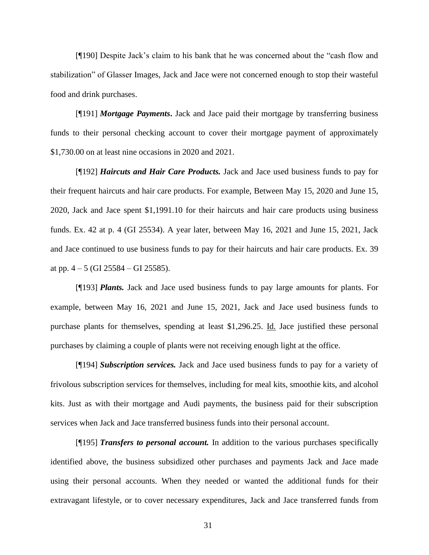[¶190] Despite Jack's claim to his bank that he was concerned about the "cash flow and stabilization" of Glasser Images, Jack and Jace were not concerned enough to stop their wasteful food and drink purchases.

[¶191] *Mortgage Payments***.** Jack and Jace paid their mortgage by transferring business funds to their personal checking account to cover their mortgage payment of approximately \$1,730.00 on at least nine occasions in 2020 and 2021.

[¶192] *Haircuts and Hair Care Products.* Jack and Jace used business funds to pay for their frequent haircuts and hair care products. For example, Between May 15, 2020 and June 15, 2020, Jack and Jace spent \$1,1991.10 for their haircuts and hair care products using business funds. Ex. 42 at p. 4 (GI 25534). A year later, between May 16, 2021 and June 15, 2021, Jack and Jace continued to use business funds to pay for their haircuts and hair care products. Ex. 39 at pp.  $4 - 5$  (GI 25584 – GI 25585).

[¶193] *Plants.* Jack and Jace used business funds to pay large amounts for plants. For example, between May 16, 2021 and June 15, 2021, Jack and Jace used business funds to purchase plants for themselves, spending at least \$1,296.25. Id. Jace justified these personal purchases by claiming a couple of plants were not receiving enough light at the office.

[¶194] *Subscription services.* Jack and Jace used business funds to pay for a variety of frivolous subscription services for themselves, including for meal kits, smoothie kits, and alcohol kits. Just as with their mortgage and Audi payments, the business paid for their subscription services when Jack and Jace transferred business funds into their personal account.

[¶195] *Transfers to personal account.* In addition to the various purchases specifically identified above, the business subsidized other purchases and payments Jack and Jace made using their personal accounts. When they needed or wanted the additional funds for their extravagant lifestyle, or to cover necessary expenditures, Jack and Jace transferred funds from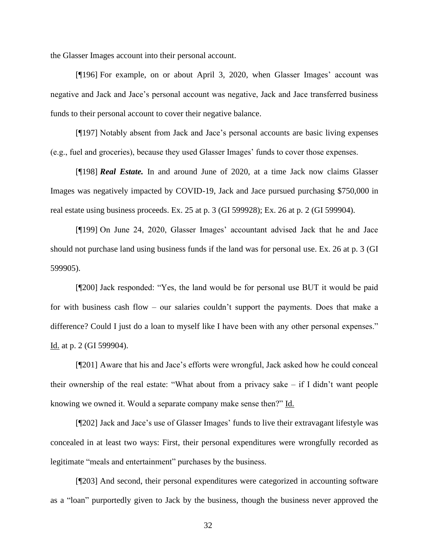the Glasser Images account into their personal account.

[¶196] For example, on or about April 3, 2020, when Glasser Images' account was negative and Jack and Jace's personal account was negative, Jack and Jace transferred business funds to their personal account to cover their negative balance.

[¶197] Notably absent from Jack and Jace's personal accounts are basic living expenses (e.g., fuel and groceries), because they used Glasser Images' funds to cover those expenses.

[¶198] *Real Estate.* In and around June of 2020, at a time Jack now claims Glasser Images was negatively impacted by COVID-19, Jack and Jace pursued purchasing \$750,000 in real estate using business proceeds. Ex. 25 at p. 3 (GI 599928); Ex. 26 at p. 2 (GI 599904).

[¶199] On June 24, 2020, Glasser Images' accountant advised Jack that he and Jace should not purchase land using business funds if the land was for personal use. Ex. 26 at p. 3 (GI 599905).

[¶200] Jack responded: "Yes, the land would be for personal use BUT it would be paid for with business cash flow – our salaries couldn't support the payments. Does that make a difference? Could I just do a loan to myself like I have been with any other personal expenses." Id. at p. 2 (GI 599904).

[¶201] Aware that his and Jace's efforts were wrongful, Jack asked how he could conceal their ownership of the real estate: "What about from a privacy sake – if I didn't want people knowing we owned it. Would a separate company make sense then?" Id.

[¶202] Jack and Jace's use of Glasser Images' funds to live their extravagant lifestyle was concealed in at least two ways: First, their personal expenditures were wrongfully recorded as legitimate "meals and entertainment" purchases by the business.

[¶203] And second, their personal expenditures were categorized in accounting software as a "loan" purportedly given to Jack by the business, though the business never approved the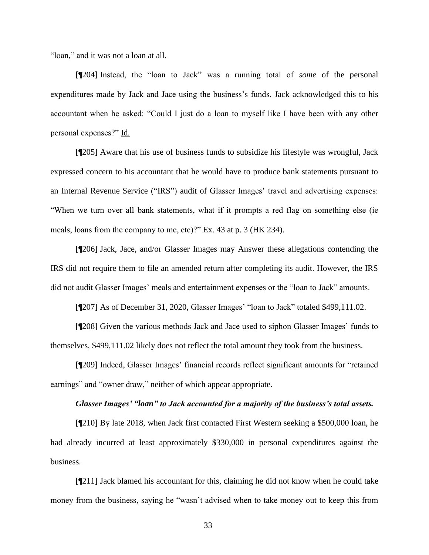"loan," and it was not a loan at all.

[¶204] Instead, the "loan to Jack" was a running total of *some* of the personal expenditures made by Jack and Jace using the business's funds. Jack acknowledged this to his accountant when he asked: "Could I just do a loan to myself like I have been with any other personal expenses?" Id.

[¶205] Aware that his use of business funds to subsidize his lifestyle was wrongful, Jack expressed concern to his accountant that he would have to produce bank statements pursuant to an Internal Revenue Service ("IRS") audit of Glasser Images' travel and advertising expenses: "When we turn over all bank statements, what if it prompts a red flag on something else (ie meals, loans from the company to me, etc)?" Ex. 43 at p. 3 (HK 234).

[¶206] Jack, Jace, and/or Glasser Images may Answer these allegations contending the IRS did not require them to file an amended return after completing its audit. However, the IRS did not audit Glasser Images' meals and entertainment expenses or the "loan to Jack" amounts.

[¶207] As of December 31, 2020, Glasser Images' "loan to Jack" totaled \$499,111.02.

[¶208] Given the various methods Jack and Jace used to siphon Glasser Images' funds to themselves, \$499,111.02 likely does not reflect the total amount they took from the business.

[¶209] Indeed, Glasser Images' financial records reflect significant amounts for "retained earnings" and "owner draw," neither of which appear appropriate.

#### *Glasser Images' "loan" to Jack accounted for a majority of the business's total assets.*

[¶210] By late 2018, when Jack first contacted First Western seeking a \$500,000 loan, he had already incurred at least approximately \$330,000 in personal expenditures against the business.

[¶211] Jack blamed his accountant for this, claiming he did not know when he could take money from the business, saying he "wasn't advised when to take money out to keep this from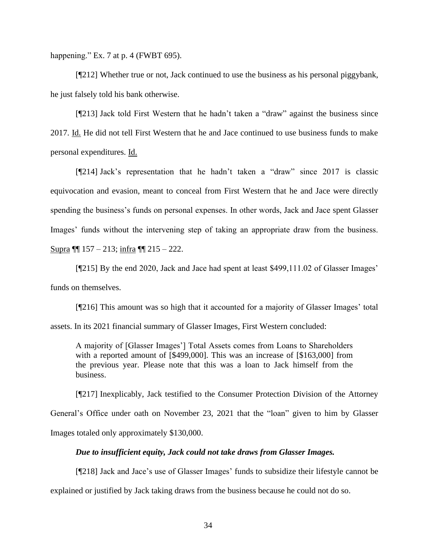happening." Ex. 7 at p. 4 (FWBT 695).

[¶212] Whether true or not, Jack continued to use the business as his personal piggybank, he just falsely told his bank otherwise.

[¶213] Jack told First Western that he hadn't taken a "draw" against the business since 2017. Id. He did not tell First Western that he and Jace continued to use business funds to make personal expenditures. Id.

[¶214] Jack's representation that he hadn't taken a "draw" since 2017 is classic equivocation and evasion, meant to conceal from First Western that he and Jace were directly spending the business's funds on personal expenses. In other words, Jack and Jace spent Glasser Images' funds without the intervening step of taking an appropriate draw from the business. Supra ¶¶ 157 – 213; infra ¶¶ 215 – 222.

[¶215] By the end 2020, Jack and Jace had spent at least \$499,111.02 of Glasser Images' funds on themselves.

[¶216] This amount was so high that it accounted for a majority of Glasser Images' total assets. In its 2021 financial summary of Glasser Images, First Western concluded:

A majority of [Glasser Images'] Total Assets comes from Loans to Shareholders with a reported amount of [\$499,000]. This was an increase of [\$163,000] from the previous year. Please note that this was a loan to Jack himself from the business.

[¶217] Inexplicably, Jack testified to the Consumer Protection Division of the Attorney General's Office under oath on November 23, 2021 that the "loan" given to him by Glasser Images totaled only approximately \$130,000.

## *Due to insufficient equity, Jack could not take draws from Glasser Images.*

[¶218] Jack and Jace's use of Glasser Images' funds to subsidize their lifestyle cannot be

explained or justified by Jack taking draws from the business because he could not do so.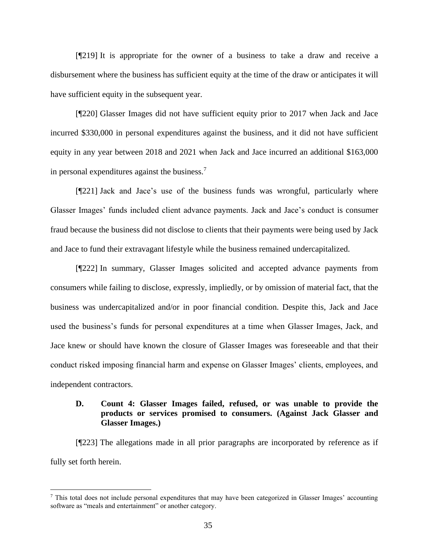[¶219] It is appropriate for the owner of a business to take a draw and receive a disbursement where the business has sufficient equity at the time of the draw or anticipates it will have sufficient equity in the subsequent year.

[¶220] Glasser Images did not have sufficient equity prior to 2017 when Jack and Jace incurred \$330,000 in personal expenditures against the business, and it did not have sufficient equity in any year between 2018 and 2021 when Jack and Jace incurred an additional \$163,000 in personal expenditures against the business.<sup>7</sup>

[¶221] Jack and Jace's use of the business funds was wrongful, particularly where Glasser Images' funds included client advance payments. Jack and Jace's conduct is consumer fraud because the business did not disclose to clients that their payments were being used by Jack and Jace to fund their extravagant lifestyle while the business remained undercapitalized.

[¶222] In summary, Glasser Images solicited and accepted advance payments from consumers while failing to disclose, expressly, impliedly, or by omission of material fact, that the business was undercapitalized and/or in poor financial condition. Despite this, Jack and Jace used the business's funds for personal expenditures at a time when Glasser Images, Jack, and Jace knew or should have known the closure of Glasser Images was foreseeable and that their conduct risked imposing financial harm and expense on Glasser Images' clients, employees, and independent contractors.

# **D. Count 4: Glasser Images failed, refused, or was unable to provide the products or services promised to consumers. (Against Jack Glasser and Glasser Images.)**

[¶223] The allegations made in all prior paragraphs are incorporated by reference as if fully set forth herein.

<sup>7</sup> This total does not include personal expenditures that may have been categorized in Glasser Images' accounting software as "meals and entertainment" or another category.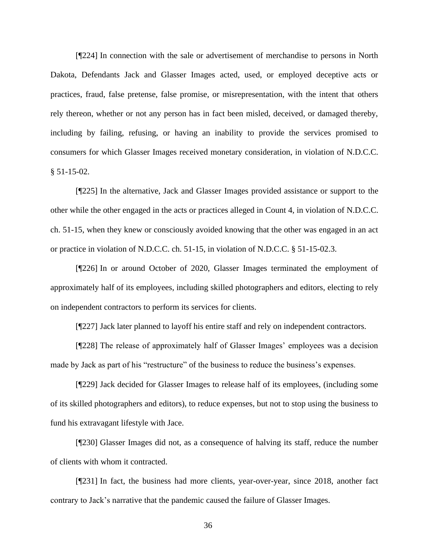[¶224] In connection with the sale or advertisement of merchandise to persons in North Dakota, Defendants Jack and Glasser Images acted, used, or employed deceptive acts or practices, fraud, false pretense, false promise, or misrepresentation, with the intent that others rely thereon, whether or not any person has in fact been misled, deceived, or damaged thereby, including by failing, refusing, or having an inability to provide the services promised to consumers for which Glasser Images received monetary consideration, in violation of N.D.C.C.  $§ 51-15-02.$ 

[¶225] In the alternative, Jack and Glasser Images provided assistance or support to the other while the other engaged in the acts or practices alleged in Count 4, in violation of N.D.C.C. ch. 51-15, when they knew or consciously avoided knowing that the other was engaged in an act or practice in violation of N.D.C.C. ch. 51-15, in violation of N.D.C.C. § 51-15-02.3.

[¶226] In or around October of 2020, Glasser Images terminated the employment of approximately half of its employees, including skilled photographers and editors, electing to rely on independent contractors to perform its services for clients.

[¶227] Jack later planned to layoff his entire staff and rely on independent contractors.

[¶228] The release of approximately half of Glasser Images' employees was a decision made by Jack as part of his "restructure" of the business to reduce the business's expenses.

[¶229] Jack decided for Glasser Images to release half of its employees, (including some of its skilled photographers and editors), to reduce expenses, but not to stop using the business to fund his extravagant lifestyle with Jace.

[¶230] Glasser Images did not, as a consequence of halving its staff, reduce the number of clients with whom it contracted.

[¶231] In fact, the business had more clients, year-over-year, since 2018, another fact contrary to Jack's narrative that the pandemic caused the failure of Glasser Images.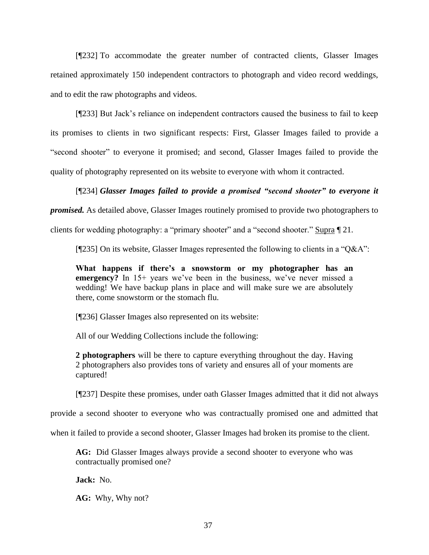[¶232] To accommodate the greater number of contracted clients, Glasser Images retained approximately 150 independent contractors to photograph and video record weddings, and to edit the raw photographs and videos.

[¶233] But Jack's reliance on independent contractors caused the business to fail to keep its promises to clients in two significant respects: First, Glasser Images failed to provide a "second shooter" to everyone it promised; and second, Glasser Images failed to provide the quality of photography represented on its website to everyone with whom it contracted.

# [¶234] *Glasser Images failed to provide a promised "second shooter" to everyone it*

*promised.* As detailed above, Glasser Images routinely promised to provide two photographers to

clients for wedding photography: a "primary shooter" and a "second shooter." Supra ¶ 21.

[¶235] On its website, Glasser Images represented the following to clients in a "Q&A":

**What happens if there's a snowstorm or my photographer has an emergency?** In 15+ years we've been in the business, we've never missed a wedding! We have backup plans in place and will make sure we are absolutely there, come snowstorm or the stomach flu.

[¶236] Glasser Images also represented on its website:

All of our Wedding Collections include the following:

**2 photographers** will be there to capture everything throughout the day. Having 2 photographers also provides tons of variety and ensures all of your moments are captured!

[¶237] Despite these promises, under oath Glasser Images admitted that it did not always

provide a second shooter to everyone who was contractually promised one and admitted that

when it failed to provide a second shooter, Glasser Images had broken its promise to the client.

**AG:** Did Glasser Images always provide a second shooter to everyone who was contractually promised one?

**Jack:** No.

**AG:** Why, Why not?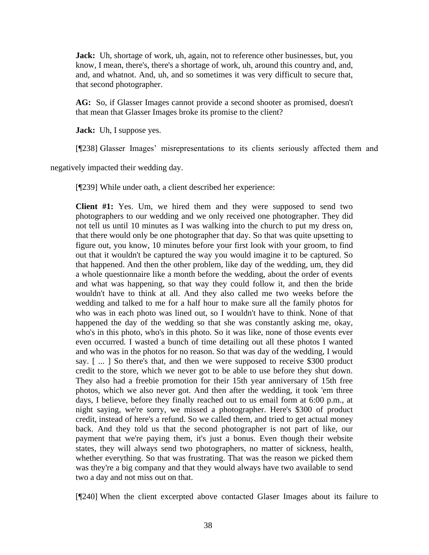**Jack:** Uh, shortage of work, uh, again, not to reference other businesses, but, you know, I mean, there's, there's a shortage of work, uh, around this country and, and, and, and whatnot. And, uh, and so sometimes it was very difficult to secure that, that second photographer.

**AG:** So, if Glasser Images cannot provide a second shooter as promised, doesn't that mean that Glasser Images broke its promise to the client?

**Jack:** Uh, I suppose yes.

[¶238] Glasser Images' misrepresentations to its clients seriously affected them and

negatively impacted their wedding day.

[¶239] While under oath, a client described her experience:

**Client #1:** Yes. Um, we hired them and they were supposed to send two photographers to our wedding and we only received one photographer. They did not tell us until 10 minutes as I was walking into the church to put my dress on, that there would only be one photographer that day. So that was quite upsetting to figure out, you know, 10 minutes before your first look with your groom, to find out that it wouldn't be captured the way you would imagine it to be captured. So that happened. And then the other problem, like day of the wedding, um, they did a whole questionnaire like a month before the wedding, about the order of events and what was happening, so that way they could follow it, and then the bride wouldn't have to think at all. And they also called me two weeks before the wedding and talked to me for a half hour to make sure all the family photos for who was in each photo was lined out, so I wouldn't have to think. None of that happened the day of the wedding so that she was constantly asking me, okay, who's in this photo, who's in this photo. So it was like, none of those events ever even occurred. I wasted a bunch of time detailing out all these photos I wanted and who was in the photos for no reason. So that was day of the wedding, I would say. [ ... ] So there's that, and then we were supposed to receive \$300 product credit to the store, which we never got to be able to use before they shut down. They also had a freebie promotion for their 15th year anniversary of 15th free photos, which we also never got. And then after the wedding, it took 'em three days, I believe, before they finally reached out to us email form at 6:00 p.m., at night saying, we're sorry, we missed a photographer. Here's \$300 of product credit, instead of here's a refund. So we called them, and tried to get actual money back. And they told us that the second photographer is not part of like, our payment that we're paying them, it's just a bonus. Even though their website states, they will always send two photographers, no matter of sickness, health, whether everything. So that was frustrating. That was the reason we picked them was they're a big company and that they would always have two available to send two a day and not miss out on that.

[¶240] When the client excerpted above contacted Glaser Images about its failure to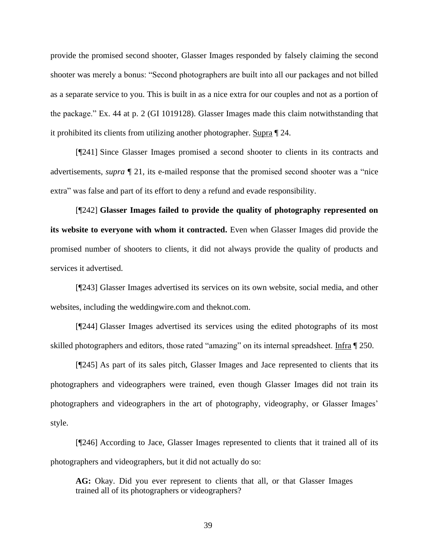provide the promised second shooter, Glasser Images responded by falsely claiming the second shooter was merely a bonus: "Second photographers are built into all our packages and not billed as a separate service to you. This is built in as a nice extra for our couples and not as a portion of the package." Ex. 44 at p. 2 (GI 1019128). Glasser Images made this claim notwithstanding that it prohibited its clients from utilizing another photographer. Supra ¶ 24.

[¶241] Since Glasser Images promised a second shooter to clients in its contracts and advertisements, *supra* ¶ 21, its e-mailed response that the promised second shooter was a "nice extra" was false and part of its effort to deny a refund and evade responsibility.

[¶242] **Glasser Images failed to provide the quality of photography represented on its website to everyone with whom it contracted.** Even when Glasser Images did provide the promised number of shooters to clients, it did not always provide the quality of products and services it advertised.

[¶243] Glasser Images advertised its services on its own website, social media, and other websites, including the weddingwire.com and theknot.com.

[¶244] Glasser Images advertised its services using the edited photographs of its most skilled photographers and editors, those rated "amazing" on its internal spreadsheet. Infra ¶ 250.

[¶245] As part of its sales pitch, Glasser Images and Jace represented to clients that its photographers and videographers were trained, even though Glasser Images did not train its photographers and videographers in the art of photography, videography, or Glasser Images' style.

[¶246] According to Jace, Glasser Images represented to clients that it trained all of its photographers and videographers, but it did not actually do so:

**AG:** Okay. Did you ever represent to clients that all, or that Glasser Images trained all of its photographers or videographers?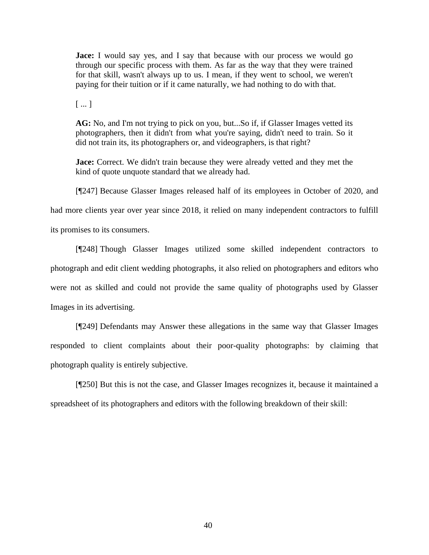**Jace:** I would say yes, and I say that because with our process we would go through our specific process with them. As far as the way that they were trained for that skill, wasn't always up to us. I mean, if they went to school, we weren't paying for their tuition or if it came naturally, we had nothing to do with that.

[ ... ]

**AG:** No, and I'm not trying to pick on you, but...So if, if Glasser Images vetted its photographers, then it didn't from what you're saying, didn't need to train. So it did not train its, its photographers or, and videographers, is that right?

**Jace:** Correct. We didn't train because they were already vetted and they met the kind of quote unquote standard that we already had.

[¶247] Because Glasser Images released half of its employees in October of 2020, and

had more clients year over year since 2018, it relied on many independent contractors to fulfill

its promises to its consumers.

[¶248] Though Glasser Images utilized some skilled independent contractors to photograph and edit client wedding photographs, it also relied on photographers and editors who were not as skilled and could not provide the same quality of photographs used by Glasser Images in its advertising.

[¶249] Defendants may Answer these allegations in the same way that Glasser Images responded to client complaints about their poor-quality photographs: by claiming that photograph quality is entirely subjective.

[¶250] But this is not the case, and Glasser Images recognizes it, because it maintained a spreadsheet of its photographers and editors with the following breakdown of their skill: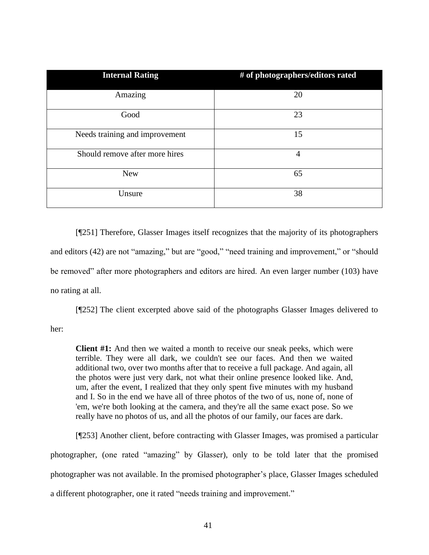| <b>Internal Rating</b>         | # of photographers/editors rated |
|--------------------------------|----------------------------------|
| Amazing                        | 20                               |
| Good                           | 23                               |
| Needs training and improvement | 15                               |
| Should remove after more hires | 4                                |
| <b>New</b>                     | 65                               |
| Unsure                         | 38                               |

[¶251] Therefore, Glasser Images itself recognizes that the majority of its photographers and editors (42) are not "amazing," but are "good," "need training and improvement," or "should be removed" after more photographers and editors are hired. An even larger number (103) have no rating at all.

[¶252] The client excerpted above said of the photographs Glasser Images delivered to

her:

**Client #1:** And then we waited a month to receive our sneak peeks, which were terrible. They were all dark, we couldn't see our faces. And then we waited additional two, over two months after that to receive a full package. And again, all the photos were just very dark, not what their online presence looked like. And, um, after the event, I realized that they only spent five minutes with my husband and I. So in the end we have all of three photos of the two of us, none of, none of 'em, we're both looking at the camera, and they're all the same exact pose. So we really have no photos of us, and all the photos of our family, our faces are dark.

[¶253] Another client, before contracting with Glasser Images, was promised a particular photographer, (one rated "amazing" by Glasser), only to be told later that the promised photographer was not available. In the promised photographer's place, Glasser Images scheduled a different photographer, one it rated "needs training and improvement."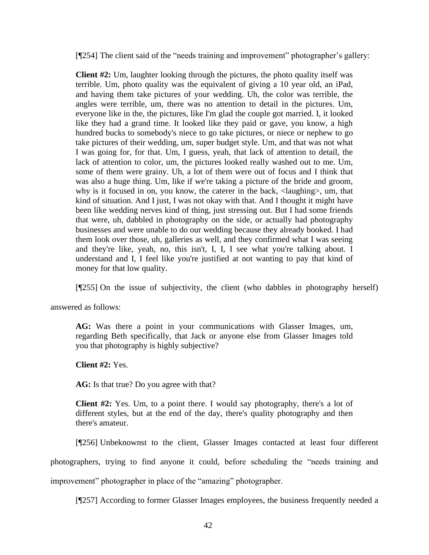[¶254] The client said of the "needs training and improvement" photographer's gallery:

**Client #2:** Um, laughter looking through the pictures, the photo quality itself was terrible. Um, photo quality was the equivalent of giving a 10 year old, an iPad, and having them take pictures of your wedding. Uh, the color was terrible, the angles were terrible, um, there was no attention to detail in the pictures. Um, everyone like in the, the pictures, like I'm glad the couple got married. I, it looked like they had a grand time. It looked like they paid or gave, you know, a high hundred bucks to somebody's niece to go take pictures, or niece or nephew to go take pictures of their wedding, um, super budget style. Um, and that was not what I was going for, for that. Um, I guess, yeah, that lack of attention to detail, the lack of attention to color, um, the pictures looked really washed out to me. Um, some of them were grainy. Uh, a lot of them were out of focus and I think that was also a huge thing. Um, like if we're taking a picture of the bride and groom, why is it focused in on, you know, the caterer in the back,  $\langle$ laughing $\rangle$ , um, that kind of situation. And I just, I was not okay with that. And I thought it might have been like wedding nerves kind of thing, just stressing out. But I had some friends that were, uh, dabbled in photography on the side, or actually had photography businesses and were unable to do our wedding because they already booked. I had them look over those, uh, galleries as well, and they confirmed what I was seeing and they're like, yeah, no, this isn't, I, I, I see what you're talking about. I understand and I, I feel like you're justified at not wanting to pay that kind of money for that low quality.

[¶255] On the issue of subjectivity, the client (who dabbles in photography herself)

answered as follows:

**AG:** Was there a point in your communications with Glasser Images, um, regarding Beth specifically, that Jack or anyone else from Glasser Images told you that photography is highly subjective?

**Client #2:** Yes.

AG: Is that true? Do you agree with that?

**Client #2:** Yes. Um, to a point there. I would say photography, there's a lot of different styles, but at the end of the day, there's quality photography and then there's amateur.

[¶256] Unbeknownst to the client, Glasser Images contacted at least four different

photographers, trying to find anyone it could, before scheduling the "needs training and

improvement" photographer in place of the "amazing" photographer.

[¶257] According to former Glasser Images employees, the business frequently needed a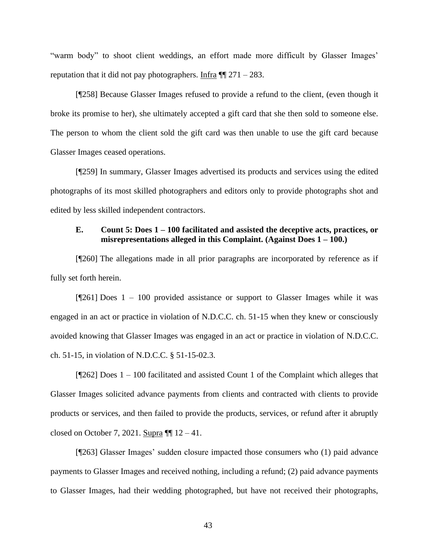"warm body" to shoot client weddings, an effort made more difficult by Glasser Images' reputation that it did not pay photographers. Infra  $\P$   $271 - 283$ .

[¶258] Because Glasser Images refused to provide a refund to the client, (even though it broke its promise to her), she ultimately accepted a gift card that she then sold to someone else. The person to whom the client sold the gift card was then unable to use the gift card because Glasser Images ceased operations.

[¶259] In summary, Glasser Images advertised its products and services using the edited photographs of its most skilled photographers and editors only to provide photographs shot and edited by less skilled independent contractors.

# **E. Count 5: Does 1 – 100 facilitated and assisted the deceptive acts, practices, or misrepresentations alleged in this Complaint. (Against Does 1 – 100.)**

[¶260] The allegations made in all prior paragraphs are incorporated by reference as if fully set forth herein.

 $[1261]$  Does 1 – 100 provided assistance or support to Glasser Images while it was engaged in an act or practice in violation of N.D.C.C. ch. 51-15 when they knew or consciously avoided knowing that Glasser Images was engaged in an act or practice in violation of N.D.C.C. ch. 51-15, in violation of N.D.C.C. § 51-15-02.3.

[¶262] Does 1 – 100 facilitated and assisted Count 1 of the Complaint which alleges that Glasser Images solicited advance payments from clients and contracted with clients to provide products or services, and then failed to provide the products, services, or refund after it abruptly closed on October 7, 2021. Supra  $\P\P$  12 – 41.

[¶263] Glasser Images' sudden closure impacted those consumers who (1) paid advance payments to Glasser Images and received nothing, including a refund; (2) paid advance payments to Glasser Images, had their wedding photographed, but have not received their photographs,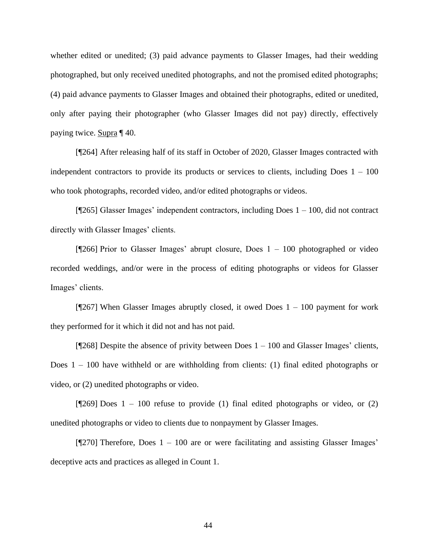whether edited or unedited; (3) paid advance payments to Glasser Images, had their wedding photographed, but only received unedited photographs, and not the promised edited photographs; (4) paid advance payments to Glasser Images and obtained their photographs, edited or unedited, only after paying their photographer (who Glasser Images did not pay) directly, effectively paying twice. Supra ¶ 40.

[¶264] After releasing half of its staff in October of 2020, Glasser Images contracted with independent contractors to provide its products or services to clients, including Does  $1 - 100$ who took photographs, recorded video, and/or edited photographs or videos.

[¶265] Glasser Images' independent contractors, including Does 1 – 100, did not contract directly with Glasser Images' clients.

[¶266] Prior to Glasser Images' abrupt closure, Does 1 – 100 photographed or video recorded weddings, and/or were in the process of editing photographs or videos for Glasser Images' clients.

 $[1267]$  When Glasser Images abruptly closed, it owed Does 1 – 100 payment for work they performed for it which it did not and has not paid.

[¶268] Despite the absence of privity between Does 1 – 100 and Glasser Images' clients, Does  $1 - 100$  have withheld or are withholding from clients: (1) final edited photographs or video, or (2) unedited photographs or video.

[ $[269]$  Does 1 – 100 refuse to provide (1) final edited photographs or video, or (2) unedited photographs or video to clients due to nonpayment by Glasser Images.

[¶270] Therefore, Does 1 – 100 are or were facilitating and assisting Glasser Images' deceptive acts and practices as alleged in Count 1.

44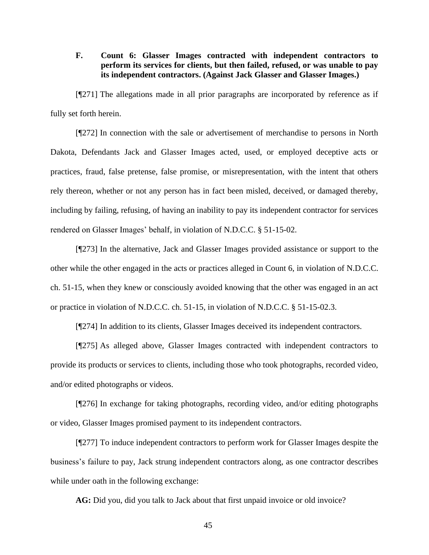# **F. Count 6: Glasser Images contracted with independent contractors to perform its services for clients, but then failed, refused, or was unable to pay its independent contractors. (Against Jack Glasser and Glasser Images.)**

[¶271] The allegations made in all prior paragraphs are incorporated by reference as if fully set forth herein.

[¶272] In connection with the sale or advertisement of merchandise to persons in North Dakota, Defendants Jack and Glasser Images acted, used, or employed deceptive acts or practices, fraud, false pretense, false promise, or misrepresentation, with the intent that others rely thereon, whether or not any person has in fact been misled, deceived, or damaged thereby, including by failing, refusing, of having an inability to pay its independent contractor for services rendered on Glasser Images' behalf, in violation of N.D.C.C. § 51-15-02.

[¶273] In the alternative, Jack and Glasser Images provided assistance or support to the other while the other engaged in the acts or practices alleged in Count 6, in violation of N.D.C.C. ch. 51-15, when they knew or consciously avoided knowing that the other was engaged in an act or practice in violation of N.D.C.C. ch. 51-15, in violation of N.D.C.C. § 51-15-02.3.

[¶274] In addition to its clients, Glasser Images deceived its independent contractors.

[¶275] As alleged above, Glasser Images contracted with independent contractors to provide its products or services to clients, including those who took photographs, recorded video, and/or edited photographs or videos.

[¶276] In exchange for taking photographs, recording video, and/or editing photographs or video, Glasser Images promised payment to its independent contractors.

[¶277] To induce independent contractors to perform work for Glasser Images despite the business's failure to pay, Jack strung independent contractors along, as one contractor describes while under oath in the following exchange:

**AG:** Did you, did you talk to Jack about that first unpaid invoice or old invoice?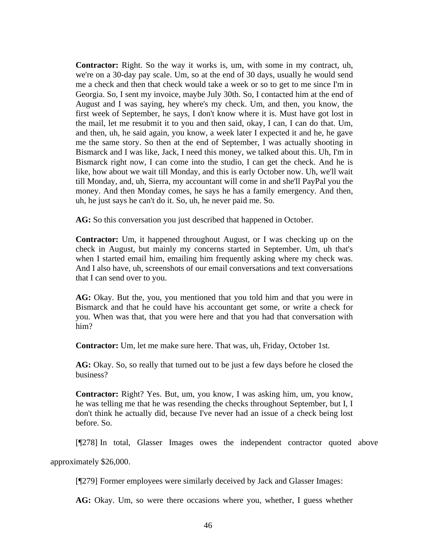**Contractor:** Right. So the way it works is, um, with some in my contract, uh, we're on a 30-day pay scale. Um, so at the end of 30 days, usually he would send me a check and then that check would take a week or so to get to me since I'm in Georgia. So, I sent my invoice, maybe July 30th. So, I contacted him at the end of August and I was saying, hey where's my check. Um, and then, you know, the first week of September, he says, I don't know where it is. Must have got lost in the mail, let me resubmit it to you and then said, okay, I can, I can do that. Um, and then, uh, he said again, you know, a week later I expected it and he, he gave me the same story. So then at the end of September, I was actually shooting in Bismarck and I was like, Jack, I need this money, we talked about this. Uh, I'm in Bismarck right now, I can come into the studio, I can get the check. And he is like, how about we wait till Monday, and this is early October now. Uh, we'll wait till Monday, and, uh, Sierra, my accountant will come in and she'll PayPal you the money. And then Monday comes, he says he has a family emergency. And then, uh, he just says he can't do it. So, uh, he never paid me. So.

**AG:** So this conversation you just described that happened in October.

**Contractor:** Um, it happened throughout August, or I was checking up on the check in August, but mainly my concerns started in September. Um, uh that's when I started email him, emailing him frequently asking where my check was. And I also have, uh, screenshots of our email conversations and text conversations that I can send over to you.

**AG:** Okay. But the, you, you mentioned that you told him and that you were in Bismarck and that he could have his accountant get some, or write a check for you. When was that, that you were here and that you had that conversation with him?

**Contractor:** Um, let me make sure here. That was, uh, Friday, October 1st.

**AG:** Okay. So, so really that turned out to be just a few days before he closed the business?

**Contractor:** Right? Yes. But, um, you know, I was asking him, um, you know, he was telling me that he was resending the checks throughout September, but I, I don't think he actually did, because I've never had an issue of a check being lost before. So.

[¶278] In total, Glasser Images owes the independent contractor quoted above

approximately \$26,000.

[¶279] Former employees were similarly deceived by Jack and Glasser Images:

**AG:** Okay. Um, so were there occasions where you, whether, I guess whether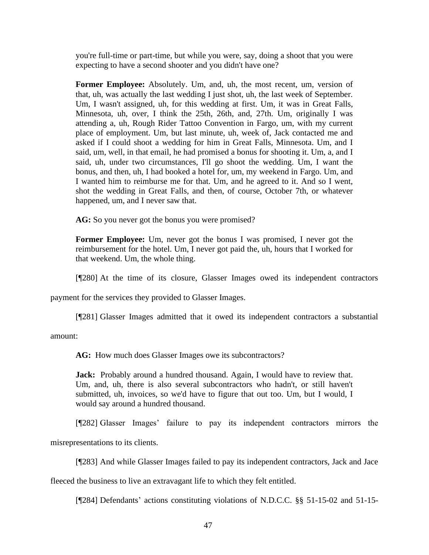you're full-time or part-time, but while you were, say, doing a shoot that you were expecting to have a second shooter and you didn't have one?

**Former Employee:** Absolutely. Um, and, uh, the most recent, um, version of that, uh, was actually the last wedding I just shot, uh, the last week of September. Um, I wasn't assigned, uh, for this wedding at first. Um, it was in Great Falls, Minnesota, uh, over, I think the 25th, 26th, and, 27th. Um, originally I was attending a, uh, Rough Rider Tattoo Convention in Fargo, um, with my current place of employment. Um, but last minute, uh, week of, Jack contacted me and asked if I could shoot a wedding for him in Great Falls, Minnesota. Um, and I said, um, well, in that email, he had promised a bonus for shooting it. Um, a, and I said, uh, under two circumstances, I'll go shoot the wedding. Um, I want the bonus, and then, uh, I had booked a hotel for, um, my weekend in Fargo. Um, and I wanted him to reimburse me for that. Um, and he agreed to it. And so I went, shot the wedding in Great Falls, and then, of course, October 7th, or whatever happened, um, and I never saw that.

AG: So you never got the bonus you were promised?

**Former Employee:** Um, never got the bonus I was promised, I never got the reimbursement for the hotel. Um, I never got paid the, uh, hours that I worked for that weekend. Um, the whole thing.

[¶280] At the time of its closure, Glasser Images owed its independent contractors

payment for the services they provided to Glasser Images.

[¶281] Glasser Images admitted that it owed its independent contractors a substantial

amount:

**AG:** How much does Glasser Images owe its subcontractors?

**Jack:** Probably around a hundred thousand. Again, I would have to review that. Um, and, uh, there is also several subcontractors who hadn't, or still haven't submitted, uh, invoices, so we'd have to figure that out too. Um, but I would, I would say around a hundred thousand.

[¶282] Glasser Images' failure to pay its independent contractors mirrors the

misrepresentations to its clients.

[¶283] And while Glasser Images failed to pay its independent contractors, Jack and Jace

fleeced the business to live an extravagant life to which they felt entitled.

[¶284] Defendants' actions constituting violations of N.D.C.C. §§ 51-15-02 and 51-15-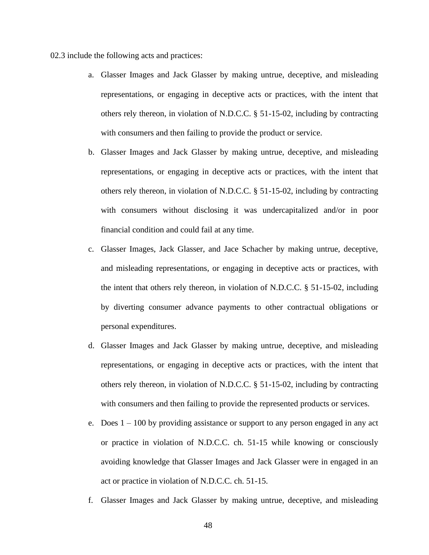02.3 include the following acts and practices:

- a. Glasser Images and Jack Glasser by making untrue, deceptive, and misleading representations, or engaging in deceptive acts or practices, with the intent that others rely thereon, in violation of N.D.C.C. § 51-15-02, including by contracting with consumers and then failing to provide the product or service.
- b. Glasser Images and Jack Glasser by making untrue, deceptive, and misleading representations, or engaging in deceptive acts or practices, with the intent that others rely thereon, in violation of N.D.C.C. § 51-15-02, including by contracting with consumers without disclosing it was undercapitalized and/or in poor financial condition and could fail at any time.
- c. Glasser Images, Jack Glasser, and Jace Schacher by making untrue, deceptive, and misleading representations, or engaging in deceptive acts or practices, with the intent that others rely thereon, in violation of N.D.C.C. § 51-15-02, including by diverting consumer advance payments to other contractual obligations or personal expenditures.
- d. Glasser Images and Jack Glasser by making untrue, deceptive, and misleading representations, or engaging in deceptive acts or practices, with the intent that others rely thereon, in violation of N.D.C.C. § 51-15-02, including by contracting with consumers and then failing to provide the represented products or services.
- e. Does 1 100 by providing assistance or support to any person engaged in any act or practice in violation of N.D.C.C. ch. 51-15 while knowing or consciously avoiding knowledge that Glasser Images and Jack Glasser were in engaged in an act or practice in violation of N.D.C.C. ch. 51-15.
- f. Glasser Images and Jack Glasser by making untrue, deceptive, and misleading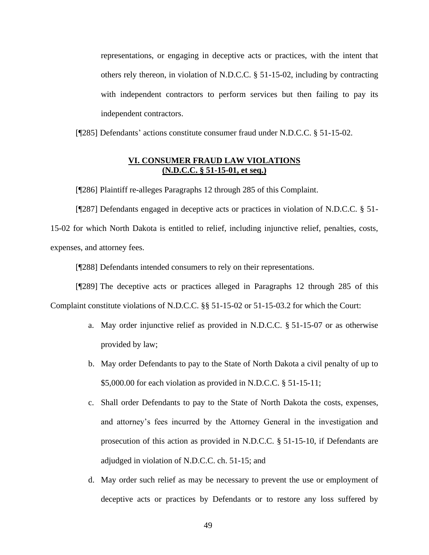representations, or engaging in deceptive acts or practices, with the intent that others rely thereon, in violation of N.D.C.C. § 51-15-02, including by contracting with independent contractors to perform services but then failing to pay its independent contractors.

[¶285] Defendants' actions constitute consumer fraud under N.D.C.C. § 51-15-02.

### **VI. CONSUMER FRAUD LAW VIOLATIONS (N.D.C.C. § 51-15-01, et seq.)**

[¶286] Plaintiff re-alleges Paragraphs 12 through 285 of this Complaint.

[¶287] Defendants engaged in deceptive acts or practices in violation of N.D.C.C. § 51- 15-02 for which North Dakota is entitled to relief, including injunctive relief, penalties, costs, expenses, and attorney fees.

[¶288] Defendants intended consumers to rely on their representations.

[¶289] The deceptive acts or practices alleged in Paragraphs 12 through 285 of this Complaint constitute violations of N.D.C.C. §§ 51-15-02 or 51-15-03.2 for which the Court:

- a. May order injunctive relief as provided in N.D.C.C. § 51-15-07 or as otherwise provided by law;
- b. May order Defendants to pay to the State of North Dakota a civil penalty of up to \$5,000.00 for each violation as provided in N.D.C.C. § 51-15-11;
- c. Shall order Defendants to pay to the State of North Dakota the costs, expenses, and attorney's fees incurred by the Attorney General in the investigation and prosecution of this action as provided in N.D.C.C. § 51-15-10, if Defendants are adjudged in violation of N.D.C.C. ch. 51-15; and
- d. May order such relief as may be necessary to prevent the use or employment of deceptive acts or practices by Defendants or to restore any loss suffered by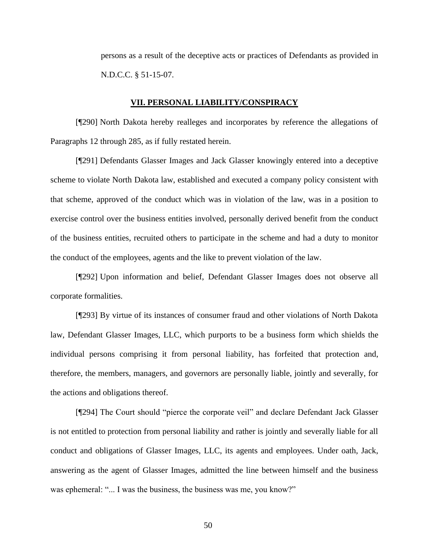persons as a result of the deceptive acts or practices of Defendants as provided in N.D.C.C. § 51-15-07.

#### **VII. PERSONAL LIABILITY/CONSPIRACY**

[¶290] North Dakota hereby realleges and incorporates by reference the allegations of Paragraphs 12 through 285, as if fully restated herein.

[¶291] Defendants Glasser Images and Jack Glasser knowingly entered into a deceptive scheme to violate North Dakota law, established and executed a company policy consistent with that scheme, approved of the conduct which was in violation of the law, was in a position to exercise control over the business entities involved, personally derived benefit from the conduct of the business entities, recruited others to participate in the scheme and had a duty to monitor the conduct of the employees, agents and the like to prevent violation of the law.

[¶292] Upon information and belief, Defendant Glasser Images does not observe all corporate formalities.

[¶293] By virtue of its instances of consumer fraud and other violations of North Dakota law, Defendant Glasser Images, LLC, which purports to be a business form which shields the individual persons comprising it from personal liability, has forfeited that protection and, therefore, the members, managers, and governors are personally liable, jointly and severally, for the actions and obligations thereof.

[¶294] The Court should "pierce the corporate veil" and declare Defendant Jack Glasser is not entitled to protection from personal liability and rather is jointly and severally liable for all conduct and obligations of Glasser Images, LLC, its agents and employees. Under oath, Jack, answering as the agent of Glasser Images, admitted the line between himself and the business was ephemeral: "... I was the business, the business was me, you know?"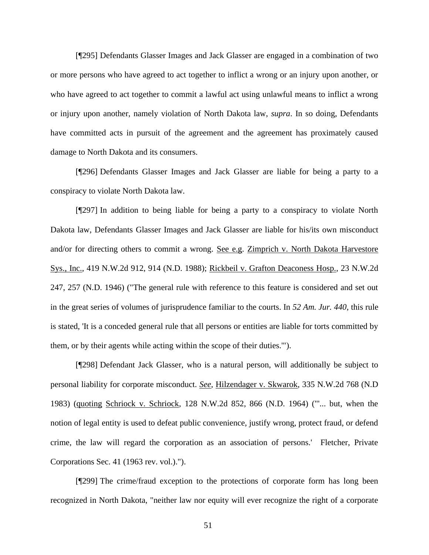[¶295] Defendants Glasser Images and Jack Glasser are engaged in a combination of two or more persons who have agreed to act together to inflict a wrong or an injury upon another, or who have agreed to act together to commit a lawful act using unlawful means to inflict a wrong or injury upon another, namely violation of North Dakota law, *supra*. In so doing, Defendants have committed acts in pursuit of the agreement and the agreement has proximately caused damage to North Dakota and its consumers.

[¶296] Defendants Glasser Images and Jack Glasser are liable for being a party to a conspiracy to violate North Dakota law.

[¶297] In addition to being liable for being a party to a conspiracy to violate North Dakota law, Defendants Glasser Images and Jack Glasser are liable for his/its own misconduct and/or for directing others to commit a wrong. See e.g. Zimprich v. North Dakota Harvestore Sys., Inc., 419 N.W.2d 912, 914 (N.D. 1988); Rickbeil v. Grafton Deaconess Hosp., 23 N.W.2d 247, 257 (N.D. 1946) ("The general rule with reference to this feature is considered and set out in the great series of volumes of jurisprudence familiar to the courts. In *52 Am. Jur. 440*, this rule is stated, 'It is a conceded general rule that all persons or entities are liable for torts committed by them, or by their agents while acting within the scope of their duties.'").

[¶298] Defendant Jack Glasser, who is a natural person, will additionally be subject to personal liability for corporate misconduct. *See*, Hilzendager v. Skwarok, 335 N.W.2d 768 (N.D 1983) (quoting Schriock v. Schriock, 128 N.W.2d 852, 866 (N.D. 1964) ("'... but, when the notion of legal entity is used to defeat public convenience, justify wrong, protect fraud, or defend crime, the law will regard the corporation as an association of persons.' Fletcher, Private Corporations Sec. 41 (1963 rev. vol.).").

[¶299] The crime/fraud exception to the protections of corporate form has long been recognized in North Dakota, "neither law nor equity will ever recognize the right of a corporate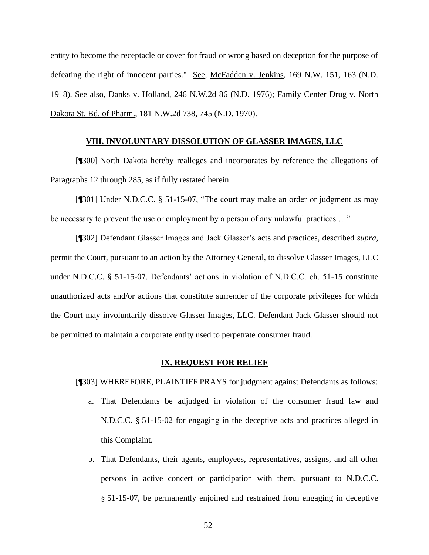entity to become the receptacle or cover for fraud or wrong based on deception for the purpose of defeating the right of innocent parties." See, McFadden v. Jenkins, 169 N.W. 151, 163 (N.D. 1918). See also, Danks v. Holland, 246 N.W.2d 86 (N.D. 1976); Family Center Drug v. North Dakota St. Bd. of Pharm., 181 N.W.2d 738, 745 (N.D. 1970).

#### **VIII. INVOLUNTARY DISSOLUTION OF GLASSER IMAGES, LLC**

[¶300] North Dakota hereby realleges and incorporates by reference the allegations of Paragraphs 12 through 285, as if fully restated herein.

[¶301] Under N.D.C.C. § 51-15-07, "The court may make an order or judgment as may be necessary to prevent the use or employment by a person of any unlawful practices …"

[¶302] Defendant Glasser Images and Jack Glasser's acts and practices, described *supra*, permit the Court, pursuant to an action by the Attorney General, to dissolve Glasser Images, LLC under N.D.C.C. § 51-15-07. Defendants' actions in violation of N.D.C.C. ch. 51-15 constitute unauthorized acts and/or actions that constitute surrender of the corporate privileges for which the Court may involuntarily dissolve Glasser Images, LLC. Defendant Jack Glasser should not be permitted to maintain a corporate entity used to perpetrate consumer fraud.

#### **IX. REQUEST FOR RELIEF**

[¶303] WHEREFORE, PLAINTIFF PRAYS for judgment against Defendants as follows:

- a. That Defendants be adjudged in violation of the consumer fraud law and N.D.C.C. § 51-15-02 for engaging in the deceptive acts and practices alleged in this Complaint.
- b. That Defendants, their agents, employees, representatives, assigns, and all other persons in active concert or participation with them, pursuant to N.D.C.C. § 51-15-07, be permanently enjoined and restrained from engaging in deceptive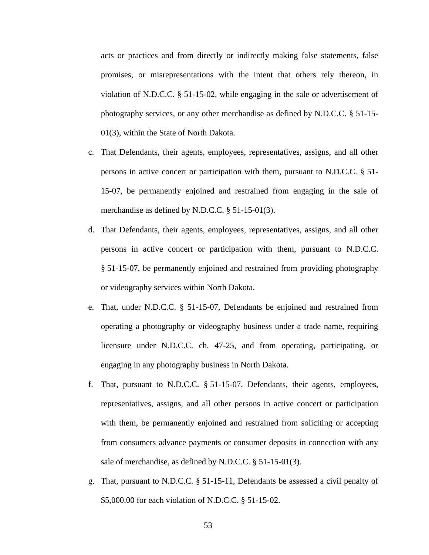acts or practices and from directly or indirectly making false statements, false promises, or misrepresentations with the intent that others rely thereon, in violation of N.D.C.C. § 51-15-02, while engaging in the sale or advertisement of photography services, or any other merchandise as defined by N.D.C.C. § 51-15- 01(3), within the State of North Dakota.

- c. That Defendants, their agents, employees, representatives, assigns, and all other persons in active concert or participation with them, pursuant to N.D.C.C. § 51- 15-07, be permanently enjoined and restrained from engaging in the sale of merchandise as defined by N.D.C.C. § 51-15-01(3).
- d. That Defendants, their agents, employees, representatives, assigns, and all other persons in active concert or participation with them, pursuant to N.D.C.C. § 51-15-07, be permanently enjoined and restrained from providing photography or videography services within North Dakota.
- e. That, under N.D.C.C. § 51-15-07, Defendants be enjoined and restrained from operating a photography or videography business under a trade name, requiring licensure under N.D.C.C. ch. 47-25, and from operating, participating, or engaging in any photography business in North Dakota.
- f. That, pursuant to N.D.C.C. § 51-15-07, Defendants, their agents, employees, representatives, assigns, and all other persons in active concert or participation with them, be permanently enjoined and restrained from soliciting or accepting from consumers advance payments or consumer deposits in connection with any sale of merchandise, as defined by N.D.C.C. § 51-15-01(3).
- g. That, pursuant to N.D.C.C. § 51-15-11, Defendants be assessed a civil penalty of \$5,000.00 for each violation of N.D.C.C. § 51-15-02.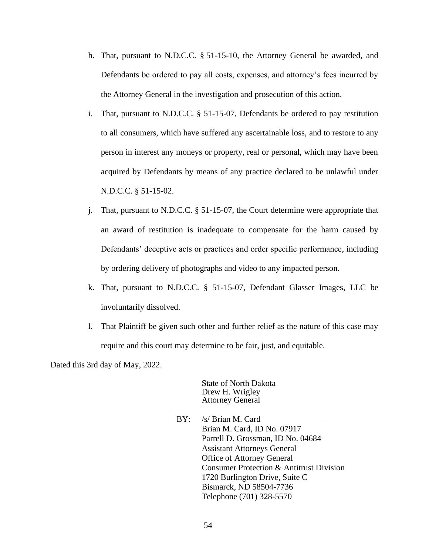- h. That, pursuant to N.D.C.C. § 51-15-10, the Attorney General be awarded, and Defendants be ordered to pay all costs, expenses, and attorney's fees incurred by the Attorney General in the investigation and prosecution of this action.
- i. That, pursuant to N.D.C.C. § 51-15-07, Defendants be ordered to pay restitution to all consumers, which have suffered any ascertainable loss, and to restore to any person in interest any moneys or property, real or personal, which may have been acquired by Defendants by means of any practice declared to be unlawful under N.D.C.C. § 51-15-02.
- j. That, pursuant to N.D.C.C. § 51-15-07, the Court determine were appropriate that an award of restitution is inadequate to compensate for the harm caused by Defendants' deceptive acts or practices and order specific performance, including by ordering delivery of photographs and video to any impacted person.
- k. That, pursuant to N.D.C.C. § 51-15-07, Defendant Glasser Images, LLC be involuntarily dissolved.
- l. That Plaintiff be given such other and further relief as the nature of this case may require and this court may determine to be fair, just, and equitable.

Dated this 3rd day of May, 2022.

State of North Dakota Drew H. Wrigley Attorney General

BY: /s/ Brian M. Card Brian M. Card, ID No. 07917 Parrell D. Grossman, ID No. 04684 Assistant Attorneys General Office of Attorney General Consumer Protection & Antitrust Division 1720 Burlington Drive, Suite C Bismarck, ND 58504-7736 Telephone (701) 328-5570